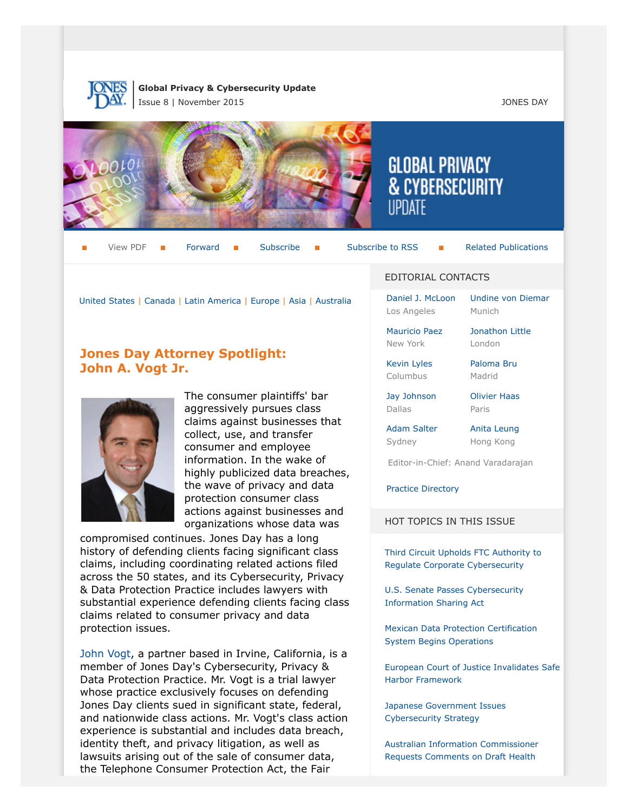

**Global Privacy & Cybersecurity Update** Issue 8 | November 2015 JONES DAY



View PDF **[Forward](http://thewritestuff.jonesday.com/cff/66ad11bb765aee2c69cbe6e4c3f400a8f388d702/)** [Subscribe](http://www.jonesday.com/newsknowledge/publications.aspx) Subscribe Subscribe Subscribe Subscribe Subscribe **[Related Publications](http://www.jonesday.com/experiencepractices/servicedetail.aspx?serviceid=667cc279-13c5-42de-b91c-34b923a75c52§ion=Publications)** 

[Jonathon Little](http://www.jonesday.com/jrlittle)

[United States](#page-1-0) | [Canada](#page-9-0) | [Latin America](#page-9-1) | [Europe](#page-10-0) | [Asia](#page-14-0) | [Australia](#page-16-0)

# **Jones Day Attorney Spotlight: John A. Vogt Jr.**



The consumer plaintiffs' bar aggressively pursues class claims against businesses that collect, use, and transfer consumer and employee information. In the wake of highly publicized data breaches, the wave of privacy and data protection consumer class actions against businesses and organizations whose data was

compromised continues. Jones Day has a long history of defending clients facing significant class claims, including coordinating related actions filed across the 50 states, and its Cybersecurity, Privacy & Data Protection Practice includes lawyers with substantial experience defending clients facing class claims related to consumer privacy and data protection issues.

[John Vogt](http://www.jonesday.com/javogt/), a partner based in Irvine, California, is a member of Jones Day's Cybersecurity, Privacy & Data Protection Practice. Mr. Vogt is a trial lawyer whose practice exclusively focuses on defending Jones Day clients sued in significant state, federal, and nationwide class actions. Mr. Vogt's class action experience is substantial and includes data breach, identity theft, and privacy litigation, as well as lawsuits arising out of the sale of consumer data, the Telephone Consumer Protection Act, the Fair

#### EDITORIAL CONTACTS

**GLOBAL PRIVACY** 

**& CYBERSECURITY** 

[Daniel J. McLoon](http://www.jonesday.com/djmcloon) Los Angeles [Undine von Diemar](http://www.jonesday.com/uvondiemar) Munich

[Mauricio Paez](http://www.jonesday.com/mfpaez) New York

London [Paloma Bru](http://www.jonesday.com/pbru)

Madrid

[Jay Johnson](http://www.jonesday.com/jjohnson) Dallas

[Kevin Lyles](http://www.jonesday.com/kdlyles) Columbus

> [Olivier Haas](http://www.jonesday.com/ohaas) Paris

[Adam Salter](http://www.jonesday.com/asalter) Sydney

[Anita Leung](http://www.jonesday.com/aleung) Hong Kong

Editor-in-Chief: Anand Varadarajan

[Practice Directory](#page-17-0)

HOT TOPICS IN THIS ISSUE

[Third Circuit Upholds FTC Authority to](#page-7-0) [Regulate Corporate Cybersecurity](#page-7-0)

[U.S. Senate Passes Cybersecurity](#page-8-0) [Information Sharing Act](#page-8-0)

[Mexican Data Protection Certification](#page-10-1) [System Begins Operations](#page-10-1)

[European Court of Justice Invalidates Safe](#page-11-0) [Harbor Framework](#page-11-0)

[Japanese Government Issues](#page-15-0) [Cybersecurity Strategy](#page-15-0)

[Australian Information Commissioner](#page-17-1) [Requests Comments on Draft Health](#page-17-1)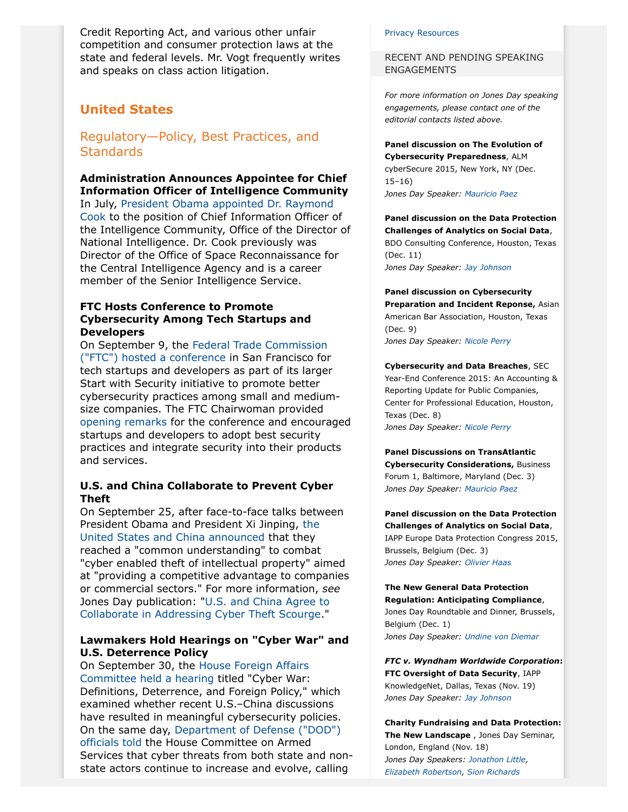Credit Reporting Act, and various other unfair competition and consumer protection laws at the state and federal levels. Mr. Vogt frequently writes and speaks on class action litigation.

# <span id="page-1-0"></span>**United States**

Regulatory—Policy, Best Practices, and **Standards** 

# **Administration Announces Appointee for Chief Information Officer of Intelligence Community**

In July, [President Obama appointed Dr. Raymond](https://www.whitehouse.gov/the-press-office/2015/07/23/president-obama-announces-more-key-administration-posts) [Cook](https://www.whitehouse.gov/the-press-office/2015/07/23/president-obama-announces-more-key-administration-posts) to the position of Chief Information Officer of the Intelligence Community, Office of the Director of National Intelligence. Dr. Cook previously was Director of the Office of Space Reconnaissance for the Central Intelligence Agency and is a career member of the Senior Intelligence Service.

### **FTC Hosts Conference to Promote Cybersecurity Among Tech Startups and Developers**

On September 9, the [Federal Trade Commission](https://www.ftc.gov/news-events/press-releases/2015/08/ftc-announces-agenda-first-start-security-conference-san) [\("FTC"\) hosted a conference](https://www.ftc.gov/news-events/press-releases/2015/08/ftc-announces-agenda-first-start-security-conference-san) in San Francisco for tech startups and developers as part of its larger Start with Security initiative to promote better cybersecurity practices among small and mediumsize companies. The FTC Chairwoman provided [opening remarks](https://www.ftc.gov/system/files/documents/public_statements/800631/150909startwsecurity-1.pdf) for the conference and encouraged startups and developers to adopt best security practices and integrate security into their products and services.

# **U.S. and China Collaborate to Prevent Cyber Theft**

On September 25, after face-to-face talks between President Obama and President Xi Jinping, [the](https://www.whitehouse.gov/the-press-office/2015/09/25/remarks-president-obama-and-president-xi-peoples-republic-china-joint) [United States and China announced](https://www.whitehouse.gov/the-press-office/2015/09/25/remarks-president-obama-and-president-xi-peoples-republic-china-joint) that they reached a "common understanding" to combat "cyber enabled theft of intellectual property" aimed at "providing a competitive advantage to companies or commercial sectors." For more information, *see* Jones Day publication: "[U.S. and China Agree to](http://www.jonesday.com/us-and-china-agree-to-collaborate-in-addressing-cyber-theft-scourge-09-29-2015/) [Collaborate in Addressing Cyber Theft Scourge](http://www.jonesday.com/us-and-china-agree-to-collaborate-in-addressing-cyber-theft-scourge-09-29-2015/)."

# **Lawmakers Hold Hearings on "Cyber War" and U.S. Deterrence Policy**

On September 30, the [House Foreign Affairs](http://foreignaffairs.house.gov/hearing/hearing-cyber-war-definitions-deterrence-and-foreign-policy) [Committee held a hearing](http://foreignaffairs.house.gov/hearing/hearing-cyber-war-definitions-deterrence-and-foreign-policy) titled "Cyber War: Definitions, Deterrence, and Foreign Policy," which examined whether recent U.S.–China discussions have resulted in meaningful cybersecurity policies. On the same day, [Department of Defense \("DOD"\)](http://armedservices.house.gov/index.cfm/hearings-display?ContentRecord_id=EBA51C46-28AE-49EE-89B2-534B52988805&ContentType_id=14F995B9-DFA5-407A-9D35-56CC7152A7ED&Group_id=64562e79-731a-4ac6-aab0-7bd8d1b7e890) [officials told](http://armedservices.house.gov/index.cfm/hearings-display?ContentRecord_id=EBA51C46-28AE-49EE-89B2-534B52988805&ContentType_id=14F995B9-DFA5-407A-9D35-56CC7152A7ED&Group_id=64562e79-731a-4ac6-aab0-7bd8d1b7e890) the House Committee on Armed Services that cyber threats from both state and nonstate actors continue to increase and evolve, calling

#### [Privacy Resources](#page-17-1)

RECENT AND PENDING SPEAKING ENGAGEMENTS

*For more information on Jones Day speaking engagements, please contact one of the editorial contacts listed above.*

**Panel discussion on The Evolution of Cybersecurity Preparedness**, ALM cyberSecure 2015, New York, NY (Dec. 15–16) *Jones Day Speaker: [Mauricio Paez](http://www.jonesday.com/mfpaez)*

### **Panel discussion on the Data Protection Challenges of Analytics on Social Data**, BDO Consulting Conference, Houston, Texas (Dec. 11)

*Jones Day Speaker: [Jay Johnson](http://www.jonesday.com/jjohnson)*

**Panel discussion on Cybersecurity Preparation and Incident Reponse,** Asian American Bar Association, Houston, Texas (Dec. 9) *Jones Day Speaker: [Nicole Perry](http://www.jonesday.com/nmperry)*

#### **Cybersecurity and Data Breaches**, SEC

Year-End Conference 2015: An Accounting & Reporting Update for Public Companies, Center for Professional Education, Houston, Texas (Dec. 8) *Jones Day Speaker: [Nicole Perry](http://www.jonesday.com/nmperry)*

#### **Panel Discussions on TransAtlantic Cybersecurity Considerations,** Business Forum 1, Baltimore, Maryland (Dec. 3) *Jones Day Speaker: [Mauricio Paez](http://www.jonesday.com/mfpaez)*

**Panel discussion on the Data Protection Challenges of Analytics on Social Data**, IAPP Europe Data Protection Congress 2015, Brussels, Belgium (Dec. 3) *Jones Day Speaker: [Olivier Haas](http://www.jonesday.com/ohaas)*

#### **The New General Data Protection Regulation: Anticipating Compliance**, Jones Day Roundtable and Dinner, Brussels, Belgium (Dec. 1)

*Jones Day Speaker: [Undine von Diemar](http://www.jonesday.com/uvondiemar)*

#### *FTC v. Wyndham Worldwide Corporation***: FTC Oversight of Data Security**, IAPP KnowledgeNet, Dallas, Texas (Nov. 19) *Jones Day Speaker: [Jay Johnson](http://www.jonesday.com/jjohnson)*

**Charity Fundraising and Data Protection: The New Landscape** , Jones Day Seminar, London, England (Nov. 18) *Jones Day Speakers: [Jonathon Little,](http://www.jonesday.com/jrlittle) [Elizabeth Robertson](http://www.jonesday.com/erobertson), [Sion Richards](http://www.jonesday.com/srichards)*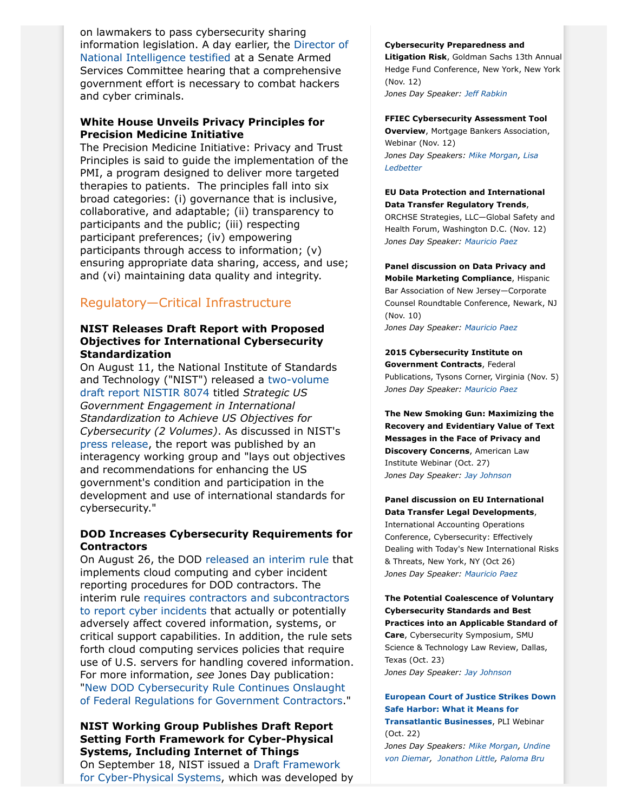on lawmakers to pass cybersecurity sharing information legislation. A day earlier, the [Director of](http://assets.law360news.com/0708000/708039/clapper_09-29-15%20testimony.pdf) [National Intelligence testified](http://assets.law360news.com/0708000/708039/clapper_09-29-15%20testimony.pdf) at a Senate Armed Services Committee hearing that a comprehensive government effort is necessary to combat hackers and cyber criminals.

# **White House Unveils Privacy Principles for Precision Medicine Initiative**

The Precision Medicine Initiative: Privacy and Trust Principles is said to guide the implementation of the PMI, a program designed to deliver more targeted therapies to patients. The principles fall into six broad categories: (i) governance that is inclusive, collaborative, and adaptable; (ii) transparency to participants and the public; (iii) respecting participant preferences; (iv) empowering participants through access to information; (v) ensuring appropriate data sharing, access, and use; and (vi) maintaining data quality and integrity.

# Regulatory—Critical Infrastructure

# **NIST Releases Draft Report with Proposed Objectives for International Cybersecurity Standardization**

On August 11, the National Institute of Standards and Technology ("NIST") released a [two-volume](http://csrc.nist.gov/publications/PubsDrafts.html#NIST-IR-8074) [draft report NISTIR 8074](http://csrc.nist.gov/publications/PubsDrafts.html#NIST-IR-8074) titled *Strategic US Government Engagement in International Standardization to Achieve US Objectives for Cybersecurity (2 Volumes)*. As discussed in NIST's [press release,](http://www.nist.gov/itl/201508_cyber_standards_working_group_report.cfm) the report was published by an interagency working group and "lays out objectives and recommendations for enhancing the US government's condition and participation in the development and use of international standards for cybersecurity."

# **DOD Increases Cybersecurity Requirements for Contractors**

On August 26, the DOD [released an interim rule](https://www.federalregister.gov/articles/2015/08/26/2015-20870/defense-federal-acquisition-regulation-supplement-network-penetration-reporting-and-contracting-for) that implements cloud computing and cyber incident reporting procedures for DOD contractors. The interim rule [requires contractors and subcontractors](http://www.jonesday.com/new-dod-cybersecurity-rule-continues-onslaught-of-federal-regulations-for-government-contractors-09-30-2015/) [to report cyber incidents](http://www.jonesday.com/new-dod-cybersecurity-rule-continues-onslaught-of-federal-regulations-for-government-contractors-09-30-2015/) that actually or potentially adversely affect covered information, systems, or critical support capabilities. In addition, the rule sets forth cloud computing services policies that require use of U.S. servers for handling covered information. For more information, *see* Jones Day publication: "[New DOD Cybersecurity Rule Continues Onslaught](http://www.jonesday.com/new-dod-cybersecurity-rule-continues-onslaught-of-federal-regulations-for-government-contractors-09-30-2015/) [of Federal Regulations for Government Contractors](http://www.jonesday.com/new-dod-cybersecurity-rule-continues-onslaught-of-federal-regulations-for-government-contractors-09-30-2015/)."

**NIST Working Group Publishes Draft Report Setting Forth Framework for Cyber-Physical Systems, Including Internet of Things** On September 18, NIST issued a [Draft Framework](http://www.cpspwg.org/Portals/3/docs/CPS%20PWG%20Draft%20Framework%20for%20Cyber-Physical%20Systems%20Release%200.8%20September%202015.pdf)

#### **Cybersecurity Preparedness and**

**Litigation Risk**, Goldman Sachs 13th Annual Hedge Fund Conference, New York, New York (Nov. 12)

*Jones Day Speaker: [Jeff Rabkin](http://www.jonesday.com/jrabkin)*

**FFIEC Cybersecurity Assessment Tool Overview**, Mortgage Bankers Association, Webinar (Nov. 12) *Jones Day Speakers: [Mike Morgan](http://www.jonesday.com/mgmorgan), [Lisa](http://www.jonesday.com/lledbetter) [Ledbetter](http://www.jonesday.com/lledbetter)*

#### **EU Data Protection and International Data Transfer Regulatory Trends**,

ORCHSE Strategies, LLC—Global Safety and Health Forum, Washington D.C. (Nov. 12) *Jones Day Speaker: [Mauricio Paez](http://www.jonesday.com/mfpaez)*

**Panel discussion on Data Privacy and Mobile Marketing Compliance**, Hispanic Bar Association of New Jersey—Corporate Counsel Roundtable Conference, Newark, NJ (Nov. 10) *Jones Day Speaker: [Mauricio Paez](http://www.jonesday.com/mfpaez)*

**2015 Cybersecurity Institute on Government Contracts**, Federal Publications, Tysons Corner, Virginia (Nov. 5) *Jones Day Speaker: [Mauricio Paez](http://www.jonesday.com/mfpaez)*

**The New Smoking Gun: Maximizing the Recovery and Evidentiary Value of Text Messages in the Face of Privacy and Discovery Concerns**, American Law Institute Webinar (Oct. 27) *Jones Day Speaker: [Jay Johnson](http://www.jonesday.com/jjohnson)*

**Panel discussion on EU International Data Transfer Legal Developments**, International Accounting Operations Conference, Cybersecurity: Effectively Dealing with Today's New International Risks & Threats, New York, NY (Oct 26) *Jones Day Speaker: [Mauricio Paez](http://www.jonesday.com/mfpaez)*

**The Potential Coalescence of Voluntary Cybersecurity Standards and Best Practices into an Applicable Standard of Care**, Cybersecurity Symposium, SMU Science & Technology Law Review, Dallas, Texas (Oct. 23) *Jones Day Speaker: [Jay Johnson](http://www.jonesday.com/jjohnson)*

**[European Court of Justice Strikes Down](http://www.jonesday.com/de/en-US/PLI-Seminars-European-Court-of-Justice-Strikes-Down-Safe-Harbor-What-it-Means-for-Transatlantic-Businesses-10-22-2015) [Safe Harbor: What it Means for](http://www.jonesday.com/de/en-US/PLI-Seminars-European-Court-of-Justice-Strikes-Down-Safe-Harbor-What-it-Means-for-Transatlantic-Businesses-10-22-2015) [Transatlantic Businesses](http://www.jonesday.com/de/en-US/PLI-Seminars-European-Court-of-Justice-Strikes-Down-Safe-Harbor-What-it-Means-for-Transatlantic-Businesses-10-22-2015)**, PLI Webinar (Oct. 22) *Jones Day Speakers: [Mike Morgan](http://www.jonesday.com/mgmorgan), [Undine](http://www.jonesday.com/uvondiemar) [von Diemar](http://www.jonesday.com/uvondiemar), [Jonathon Little,](http://www.jonesday.com/jrlittle) [Paloma Bru](http://www.jonesday.com/pbru)*

[for Cyber-Physical Systems,](http://www.cpspwg.org/Portals/3/docs/CPS%20PWG%20Draft%20Framework%20for%20Cyber-Physical%20Systems%20Release%200.8%20September%202015.pdf) which was developed by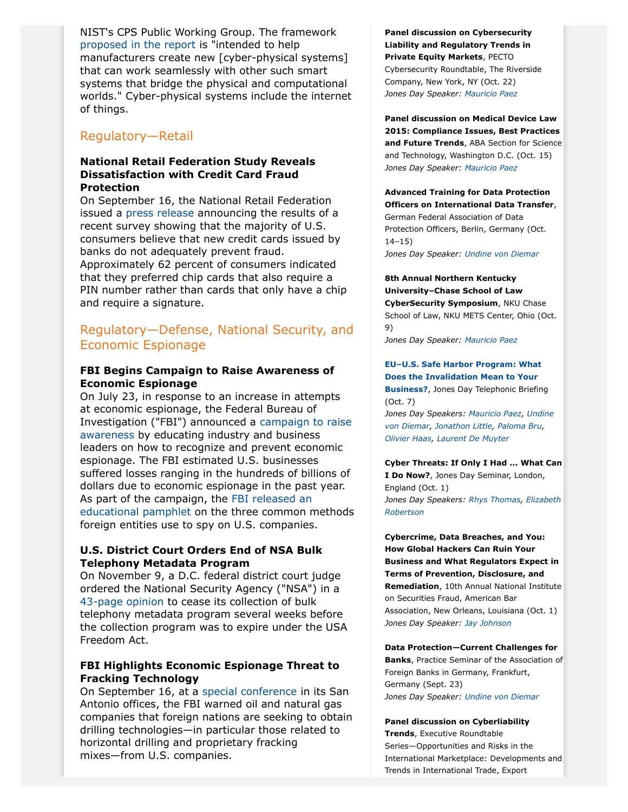NIST's CPS Public Working Group. The framework [proposed in the report](http://www.nist.gov/el/nist-releases-draft-framework-cyber-physical-systems-developers.cfm) is "intended to help manufacturers create new [cyber-physical systems] that can work seamlessly with other such smart systems that bridge the physical and computational worlds." Cyber-physical systems include the internet of things.

# Regulatory—Retail

# **National Retail Federation Study Reveals Dissatisfaction with Credit Card Fraud Protection**

On September 16, the National Retail Federation issued a [press release](https://nrf.com/media/press-releases/consumers-say-new-credit-cards-not-safe-enough) announcing the results of a recent survey showing that the majority of U.S. consumers believe that new credit cards issued by banks do not adequately prevent fraud. Approximately 62 percent of consumers indicated that they preferred chip cards that also require a PIN number rather than cards that only have a chip and require a signature.

# Regulatory—Defense, National Security, and Economic Espionage

### **FBI Begins Campaign to Raise Awareness of Economic Espionage**

On July 23, in response to an increase in attempts at economic espionage, the Federal Bureau of Investigation ("FBI") announced a [campaign to raise](https://www.fbi.gov/news/pressrel/press-releases/fbi-announces-economic-espionage-awareness-campaign) [awareness](https://www.fbi.gov/news/pressrel/press-releases/fbi-announces-economic-espionage-awareness-campaign) by educating industry and business leaders on how to recognize and prevent economic espionage. The FBI estimated U.S. businesses suffered losses ranging in the hundreds of billions of dollars due to economic espionage in the past year. As part of the campaign, the [FBI released an](https://www.fbi.gov/news/stories/2015/july/economic-espionage/economic-espionage) [educational pamphlet](https://www.fbi.gov/news/stories/2015/july/economic-espionage/economic-espionage) on the three common methods foreign entities use to spy on U.S. companies.

# **U.S. District Court Orders End of NSA Bulk Telephony Metadata Program**

On November 9, a D.C. federal district court judge ordered the National Security Agency ("NSA") in a [43-page opinion](https://www.documentcloud.org/documents/2509939-leon-ruling-november-2015-phone-records-program.html) to cease its collection of bulk telephony metadata program several weeks before the collection program was to expire under the USA Freedom Act.

# **FBI Highlights Economic Espionage Threat to Fracking Technology**

On September 16, at a [special conference](http://www.bizjournals.com/sanantonio/blog/eagle-ford-shale-insight/2015/09/fbi-warns-about-economic-espionage-in-eagle-ford.html) in its San Antonio offices, the FBI warned oil and natural gas companies that foreign nations are seeking to obtain drilling technologies—in particular those related to horizontal drilling and proprietary fracking mixes—from U.S. companies.

**Panel discussion on Cybersecurity Liability and Regulatory Trends in Private Equity Markets**, PECTO Cybersecurity Roundtable, The Riverside Company, New York, NY (Oct. 22) *Jones Day Speaker: [Mauricio Paez](http://www.jonesday.com/mfpaez)*

**Panel discussion on Medical Device Law 2015: Compliance Issues, Best Practices and Future Trends**, ABA Section for Science and Technology, Washington D.C. (Oct. 15) *Jones Day Speaker: [Mauricio Paez](http://www.jonesday.com/mfpaez)*

# **Advanced Training for Data Protection Officers on International Data Transfer**, German Federal Association of Data Protection Officers, Berlin, Germany (Oct. 14–15)

*Jones Day Speaker: [Undine von Diemar](http://www.jonesday.com/uvondiemar)*

# **8th Annual Northern Kentucky University–Chase School of Law CyberSecurity Symposium**, NKU Chase School of Law, NKU METS Center, Ohio (Oct. 9)

*Jones Day Speaker: [Mauricio Paez](http://www.jonesday.com/mfpaez)*

#### **[EU–U.S. Safe Harbor Program: What](http://www.jonesday.com/de/en-US/EUUS-Safe-Harbor-Program-What-Does-The-Invalidation-Mean-to-Your-Business-10-07-2015) [Does the Invalidation Mean to Your](http://www.jonesday.com/de/en-US/EUUS-Safe-Harbor-Program-What-Does-The-Invalidation-Mean-to-Your-Business-10-07-2015) [Business?](http://www.jonesday.com/de/en-US/EUUS-Safe-Harbor-Program-What-Does-The-Invalidation-Mean-to-Your-Business-10-07-2015)**, Jones Day Telephonic Briefing

(Oct. 7) *Jones Day Speakers: [Mauricio Paez,](http://www.jonesday.com/mfpaez) [Undine](http://www.jonesday.com/uvondiemar) [von Diemar](http://www.jonesday.com/uvondiemar), [Jonathon Little,](http://www.jonesday.com/jrlittle) [Paloma Bru](http://www.jonesday.com/pbru),*

*[Olivier Haas,](http://www.jonesday.com/ohaas) [Laurent De Muyter](http://www.jonesday.com/ldemuyter)*

**Cyber Threats: If Only I Had ... What Can I Do Now?**, Jones Day Seminar, London, England (Oct. 1) *Jones Day Speakers: [Rhys Thomas,](http://www.jonesday.com/rethomas) [Elizabeth](http://www.jonesday.com/erobertson) [Robertson](http://www.jonesday.com/erobertson)*

**Cybercrime, Data Breaches, and You: How Global Hackers Can Ruin Your Business and What Regulators Expect in Terms of Prevention, Disclosure, and Remediation**, 10th Annual National Institute on Securities Fraud, American Bar Association, New Orleans, Louisiana (Oct. 1) *Jones Day Speaker: [Jay Johnson](http://www.jonesday.com/jjohnson)*

#### **Data Protection—Current Challenges for**

**Banks**, Practice Seminar of the Association of Foreign Banks in Germany, Frankfurt, Germany (Sept. 23) *Jones Day Speaker: [Undine von Diemar](http://www.jonesday.com/uvondiemar)*

# **Panel discussion on Cyberliability**

**Trends**, Executive Roundtable Series—Opportunities and Risks in the International Marketplace: Developments and Trends in International Trade, Export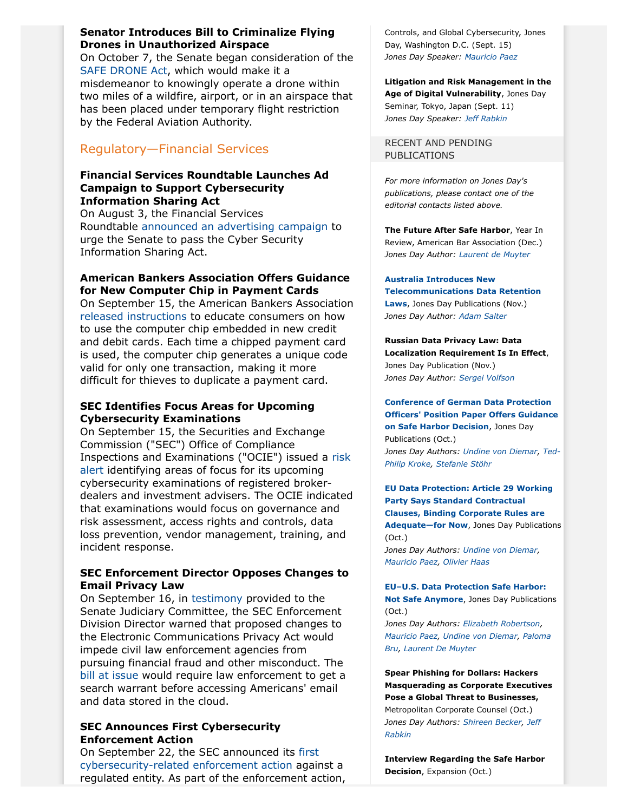# **Senator Introduces Bill to Criminalize Flying Drones in Unauthorized Airspace**

On October 7, the Senate began consideration of the [SAFE DRONE Act](https://www.boxer.senate.gov/press/release/boxer-introduces-bill-to-make-the-reckless-operation-of-drones-in-restricted-airspace-a-federal-offense/), which would make it a misdemeanor to knowingly operate a drone within two miles of a wildfire, airport, or in an airspace that has been placed under temporary flight restriction by the Federal Aviation Authority.

# Regulatory—Financial Services

# **Financial Services Roundtable Launches Ad Campaign to Support Cybersecurity Information Sharing Act**

On August 3, the Financial Services Roundtable [announced an advertising campaign](http://fsroundtable.org/fsr-launches-ads-urging-senate-to-move-forward-on-cyber-info-sharing-bill/) to urge the Senate to pass the Cyber Security Information Sharing Act.

# **American Bankers Association Offers Guidance for New Computer Chip in Payment Cards**

On September 15, the American Bankers Association [released instructions](http://www.aba.com/Press/Pages/ChipCardsExplained091415.aspx) to educate consumers on how to use the computer chip embedded in new credit and debit cards. Each time a chipped payment card is used, the computer chip generates a unique code valid for only one transaction, making it more difficult for thieves to duplicate a payment card.

# **SEC Identifies Focus Areas for Upcoming Cybersecurity Examinations**

On September 15, the Securities and Exchange Commission ("SEC") Office of Compliance Inspections and Examinations ("OCIE") issued a [risk](http://www.sec.gov/ocie/announcement/ocie-2015-cybersecurity-examination-initiative.pdf) [alert](http://www.sec.gov/ocie/announcement/ocie-2015-cybersecurity-examination-initiative.pdf) identifying areas of focus for its upcoming cybersecurity examinations of registered brokerdealers and investment advisers. The OCIE indicated that examinations would focus on governance and risk assessment, access rights and controls, data loss prevention, vendor management, training, and incident response.

# **SEC Enforcement Director Opposes Changes to Email Privacy Law**

On September 16, in [testimony](http://www.judiciary.senate.gov/imo/media/doc/09-16-15%20Ceresney%20Testimony.pdf) provided to the Senate Judiciary Committee, the SEC Enforcement Division Director warned that proposed changes to the Electronic Communications Privacy Act would impede civil law enforcement agencies from pursuing financial fraud and other misconduct. The [bill at issue](https://www.congress.gov/114/bills/s356/BILLS-114s356is.pdf) would require law enforcement to get a search warrant before accessing Americans' email and data stored in the cloud.

# **SEC Announces First Cybersecurity Enforcement Action**

On September 22, the SEC announced its [first](http://www.sec.gov/news/pressrelease/2015-202.html) [cybersecurity-related enforcement action](http://www.sec.gov/news/pressrelease/2015-202.html) against a regulated entity. As part of the enforcement action, Controls, and Global Cybersecurity, Jones Day, Washington D.C. (Sept. 15) *Jones Day Speaker: [Mauricio Paez](http://www.jonesday.com/mfpaez)*

**Litigation and Risk Management in the Age of Digital Vulnerability**, Jones Day Seminar, Tokyo, Japan (Sept. 11) *Jones Day Speaker: [Jeff Rabkin](http://www.jonesday.com/jrabkin)*

RECENT AND PENDING PUBLICATIONS

*For more information on Jones Day's publications, please contact one of the editorial contacts listed above.*

**The Future After Safe Harbor**, Year In Review, American Bar Association (Dec.) *Jones Day Author: [Laurent de Muyter](http://www.jonesday.com/ldemuyter)*

**[Australia Introduces New](http://www.jonesday.com/Australia-Introduces-New-Telecommunications-Data-Retention-Laws-11-13-2015) [Telecommunications Data Retention](http://www.jonesday.com/Australia-Introduces-New-Telecommunications-Data-Retention-Laws-11-13-2015) [Laws](http://www.jonesday.com/Australia-Introduces-New-Telecommunications-Data-Retention-Laws-11-13-2015)**, Jones Day Publications (Nov.) *Jones Day Author: [Adam Salter](http://www.jonesday.com/asalter)*

**Russian Data Privacy Law: Data Localization Requirement Is In Effect**, Jones Day Publication (Nov.) *Jones Day Author: [Sergei Volfson](http://www.jonesday.com/svolfson)*

**[Conference of German Data Protection](http://www.jonesday.com/conference-of-german-data-protection-officers-position-paper-offers-guidance-on-safe-harbor-decision-10-27-2015/) [Officers' Position Paper Offers Guidance](http://www.jonesday.com/conference-of-german-data-protection-officers-position-paper-offers-guidance-on-safe-harbor-decision-10-27-2015/) [on Safe Harbor Decision](http://www.jonesday.com/conference-of-german-data-protection-officers-position-paper-offers-guidance-on-safe-harbor-decision-10-27-2015/)**, Jones Day Publications (Oct.) *Jones Day Authors: [Undine von Diemar](http://www.jonesday.com/uvondiemar), [Ted-](http://www.jonesday.com/tkroke)[Philip Kroke,](http://www.jonesday.com/tkroke) [Stefanie Stöhr](http://www.jonesday.com/sstoehr)*

**[EU Data Protection: Article 29 Working](http://www.jonesday.com/EU-Data-Protection-Article-29-Working-Party-Says-Standard-Contractual-Clauses-Binding-Corporate-Rules-are-Adequatefor-Now-10-19-20151) [Party Says Standard Contractual](http://www.jonesday.com/EU-Data-Protection-Article-29-Working-Party-Says-Standard-Contractual-Clauses-Binding-Corporate-Rules-are-Adequatefor-Now-10-19-20151) [Clauses, Binding Corporate Rules are](http://www.jonesday.com/EU-Data-Protection-Article-29-Working-Party-Says-Standard-Contractual-Clauses-Binding-Corporate-Rules-are-Adequatefor-Now-10-19-20151) [Adequate—for Now](http://www.jonesday.com/EU-Data-Protection-Article-29-Working-Party-Says-Standard-Contractual-Clauses-Binding-Corporate-Rules-are-Adequatefor-Now-10-19-20151)**, Jones Day Publications (Oct.) *Jones Day Authors: [Undine von Diemar](http://www.jonesday.com/uvondiemar), [Mauricio Paez,](http://www.jonesday.com/mfpaez) [Olivier Haas](http://www.jonesday.com/ohaas)*

**[EU–U.S. Data Protection Safe Harbor:](http://www.jonesday.com/euus-data-protection-safe-harbor-not-safe-anymore-10-06-2015/) [Not Safe Anymore](http://www.jonesday.com/euus-data-protection-safe-harbor-not-safe-anymore-10-06-2015/)**, Jones Day Publications (Oct.)

*Jones Day Authors: [Elizabeth Robertson,](http://www.jonesday.com/erobertson) [Mauricio Paez,](http://www.jonesday.com/mfpaez) [Undine von Diemar,](http://www.jonesday.com/uvondiemar) [Paloma](http://www.jonesday.com/pbru) [Bru](http://www.jonesday.com/pbru), [Laurent De Muyter](http://www.jonesday.com/ldemuyter)*

**Spear Phishing for Dollars: Hackers Masquerading as Corporate Executives Pose a Global Threat to Businesses,** Metropolitan Corporate Counsel (Oct.) *Jones Day Authors: [Shireen Becker,](http://www.jonesday.com/sbecker) [Jeff](http://www.jonesday.com/jrabkin) [Rabkin](http://www.jonesday.com/jrabkin)*

**Interview Regarding the Safe Harbor Decision**, Expansion (Oct.)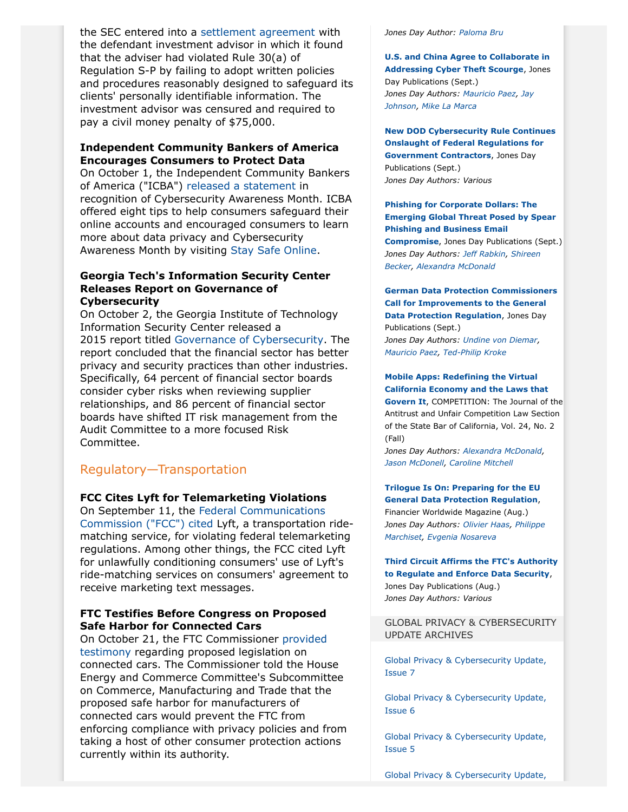the SEC entered into a [settlement agreement](http://www.sec.gov/litigation/admin/2015/ia-4204.pdf) with the defendant investment advisor in which it found that the adviser had violated Rule 30(a) of Regulation S-P by failing to adopt written policies and procedures reasonably designed to safeguard its clients' personally identifiable information. The investment advisor was censured and required to pay a civil money penalty of \$75,000.

# **Independent Community Bankers of America Encourages Consumers to Protect Data**

On October 1, the Independent Community Bankers of America ("ICBA") [released a](http://www.icba.org/news/newsreleasedetail.cfm?ItemNumber=471762&navItemNumber=183939) statement in recognition of Cybersecurity Awareness Month. ICBA offered eight tips to help consumers safeguard their online accounts and encouraged consumers to learn more about data privacy and Cybersecurity Awareness Month by visiting [Stay Safe Online.](http://www.staysafeonline.org/)

### **Georgia Tech's Information Security Center Releases Report on Governance of Cybersecurity**

On October 2, the Georgia Institute of Technology Information Security Center released a 2015 report titled [Governance of Cybersecurity.](http://fsroundtable.org/governance-of-cybersecurity-2015-report/) The report concluded that the financial sector has better privacy and security practices than other industries. Specifically, 64 percent of financial sector boards consider cyber risks when reviewing supplier relationships, and 86 percent of financial sector boards have shifted IT risk management from the Audit Committee to a more focused Risk Committee.

# Regulatory—Transportation

# **FCC Cites Lyft for Telemarketing Violations**

On September 11, the [Federal Communications](http://transition.fcc.gov/Daily_Releases/Daily_Business/2015/db0911/DA-15-997A1.pdf) [Commission \("FCC"\) cited](http://transition.fcc.gov/Daily_Releases/Daily_Business/2015/db0911/DA-15-997A1.pdf) Lyft, a transportation ridematching service, for violating federal telemarketing regulations. Among other things, the FCC cited Lyft for unlawfully conditioning consumers' use of Lyft's ride-matching services on consumers' agreement to receive marketing text messages.

# **FTC Testifies Before Congress on Proposed Safe Harbor for Connected Cars**

On October 21, the FTC Commissioner [provided](https://www.ftc.gov/news-events/press-releases/2015/10/ftc-testifies-proposed-legislation-addressing-privacy-security) [testimony](https://www.ftc.gov/news-events/press-releases/2015/10/ftc-testifies-proposed-legislation-addressing-privacy-security) regarding proposed legislation on connected cars. The Commissioner told the House Energy and Commerce Committee's Subcommittee on Commerce, Manufacturing and Trade that the proposed safe harbor for manufacturers of connected cars would prevent the FTC from enforcing compliance with privacy policies and from taking a host of other consumer protection actions currently within its authority.

*Jones Day Author: [Paloma Bru](http://www.jonesday.com/pbru)*

**[U.S. and China Agree to Collaborate in](http://www.jonesday.com/us-and-china-agree-to-collaborate-in-addressing-cyber-theft-scourge-09-29-2015/) [Addressing Cyber Theft Scourge](http://www.jonesday.com/us-and-china-agree-to-collaborate-in-addressing-cyber-theft-scourge-09-29-2015/)**, Jones Day Publications (Sept.) *Jones Day Authors: [Mauricio Paez](http://www.jonesday.com/mfpaez), [Jay](http://www.jonesday.com/jjohnson) [Johnson](http://www.jonesday.com/jjohnson), [Mike La Marca](http://www.jonesday.com/mlamarca)*

#### **[New DOD Cybersecurity Rule Continues](http://www.jonesday.com/new-dod-cybersecurity-rule-continues-onslaught-of-federal-regulations-for-government-contractors-09-30-2015/) [Onslaught of Federal Regulations for](http://www.jonesday.com/new-dod-cybersecurity-rule-continues-onslaught-of-federal-regulations-for-government-contractors-09-30-2015/) [Government Contractors](http://www.jonesday.com/new-dod-cybersecurity-rule-continues-onslaught-of-federal-regulations-for-government-contractors-09-30-2015/)**, Jones Day Publications (Sept.) *Jones Day Authors: Various*

**[Phishing for Corporate Dollars: The](http://www.jonesday.com/phishing-for-corporate-dollars-the-emerging-global-threat-posed-by-spear-phishing-and-business-email-compromise-09-23-2015/) [Emerging Global Threat Posed by Spear](http://www.jonesday.com/phishing-for-corporate-dollars-the-emerging-global-threat-posed-by-spear-phishing-and-business-email-compromise-09-23-2015/) [Phishing and Business Email](http://www.jonesday.com/phishing-for-corporate-dollars-the-emerging-global-threat-posed-by-spear-phishing-and-business-email-compromise-09-23-2015/) [Compromise](http://www.jonesday.com/phishing-for-corporate-dollars-the-emerging-global-threat-posed-by-spear-phishing-and-business-email-compromise-09-23-2015/)**, Jones Day Publications (Sept.) *Jones Day Authors: [Jeff Rabkin](http://www.jonesday.com/jrabkin), [Shireen](http://www.jonesday.com/sbecker) [Becker,](http://www.jonesday.com/sbecker) [Alexandra McDonald](http://www.jonesday.com/amcdonald)*

**[German Data Protection Commissioners](http://www.jonesday.com/German-Data-Protection-Commissioners-Call-for-Improvements-to-the-General-Data-Protection-Regulation-09-04-2015) [Call for Improvements to the General](http://www.jonesday.com/German-Data-Protection-Commissioners-Call-for-Improvements-to-the-General-Data-Protection-Regulation-09-04-2015) [Data Protection Regulation](http://www.jonesday.com/German-Data-Protection-Commissioners-Call-for-Improvements-to-the-General-Data-Protection-Regulation-09-04-2015)**, Jones Day Publications (Sept.) *Jones Day Authors: [Undine von Diemar](http://www.jonesday.com/uvondiemar), [Mauricio Paez,](http://www.jonesday.com/mfpaez) [Ted-Philip Kroke](http://www.jonesday.com/tkroke)*

#### **[Mobile Apps: Redefining the Virtual](http://www.jonesday.com/files/Publication/732622cf-ba2b-4549-9f37-5506fcbbc145/Presentation/PublicationAttachment/3fbda3c0-85ff-49e4-9db8-6a388e3d08c7/Mobile%20Apps.pdf) [California Economy and the Laws that](http://www.jonesday.com/files/Publication/732622cf-ba2b-4549-9f37-5506fcbbc145/Presentation/PublicationAttachment/3fbda3c0-85ff-49e4-9db8-6a388e3d08c7/Mobile%20Apps.pdf) [Govern It](http://www.jonesday.com/files/Publication/732622cf-ba2b-4549-9f37-5506fcbbc145/Presentation/PublicationAttachment/3fbda3c0-85ff-49e4-9db8-6a388e3d08c7/Mobile%20Apps.pdf)**, COMPETITION: The Journal of the

Antitrust and Unfair Competition Law Section of the State Bar of California, Vol. 24, No. 2 (Fall)

*Jones Day Authors: [Alexandra McDonald,](http://www.jonesday.com/amcdonald) [Jason McDonell,](http://www.jonesday.com/jmcdonell) [Caroline Mitchell](http://www.jonesday.com/cnmitchell)*

#### **[Trilogue Is On: Preparing for the EU](http://www.financierworldwide.com/trilogue-is-on-preparing-for-the-eu-general-data-protection-regulation/#.ViuFjv7smHs) [General Data Protection Regulation](http://www.financierworldwide.com/trilogue-is-on-preparing-for-the-eu-general-data-protection-regulation/#.ViuFjv7smHs)**, Financier Worldwide Magazine (Aug.) *Jones Day Authors: [Olivier Haas](http://www.jonesday.com/ohaas), [Philippe](http://www.jonesday.com/pmarchiset) [Marchiset](http://www.jonesday.com/pmarchiset), [Evgenia Nosareva](http://www.jonesday.com/enosareva)*

**[Third Circuit Affirms the FTC's Authority](http://www.jonesday.com/third-circuit-affirms-the-ftcs-authority-to-regulate-and-enforce-data-security-08-28-2015/) [to Regulate and Enforce Data Security](http://www.jonesday.com/third-circuit-affirms-the-ftcs-authority-to-regulate-and-enforce-data-security-08-28-2015/)**, Jones Day Publications (Aug.) *Jones Day Authors: Various*

#### GLOBAL PRIVACY & CYBERSECURITY UPDATE ARCHIVES

[Global Privacy & Cybersecurity Update,](http://www.jonesday.com/Global-Privacy--Cybersecurity-Update--Issue-7-08-11-2015) [Issue 7](http://www.jonesday.com/Global-Privacy--Cybersecurity-Update--Issue-7-08-11-2015)

[Global Privacy & Cybersecurity Update,](http://www.jonesday.com/Global-Privacy--Cybersecurity-Update-Issue-6-05-13-2015) [Issue 6](http://www.jonesday.com/Global-Privacy--Cybersecurity-Update-Issue-6-05-13-2015)

[Global Privacy & Cybersecurity Update,](http://www.jonesday.com/Global-Privacy--Cybersecurity-Update-Issue-5-02-28-2015) [Issue 5](http://www.jonesday.com/Global-Privacy--Cybersecurity-Update-Issue-5-02-28-2015)

[Global Privacy & Cybersecurity Update,](http://www.jonesday.com/Global-Privacy--Cybersecurity-Update-Issue-4-12-19-2014)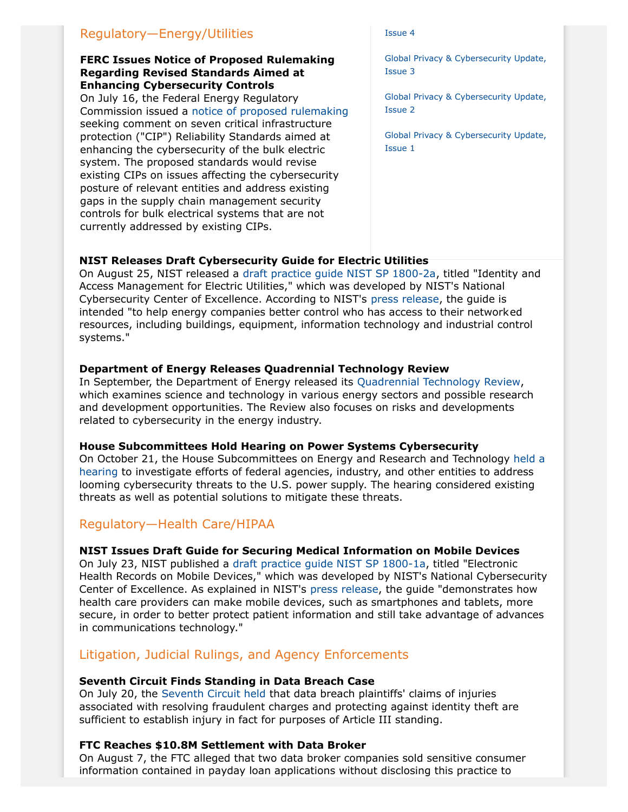# Regulatory—Energy/Utilities

### **FERC Issues Notice of Proposed Rulemaking Regarding Revised Standards Aimed at Enhancing Cybersecurity Controls**

On July 16, the Federal Energy Regulatory Commission issued a [notice of proposed rulemaking](http://www.ferc.gov/whats-new/comm-meet/2015/071615/E-1.pdf) seeking comment on seven critical infrastructure protection ("CIP") Reliability Standards aimed at enhancing the cybersecurity of the bulk electric system. The proposed standards would revise existing CIPs on issues affecting the cybersecurity posture of relevant entities and address existing gaps in the supply chain management security controls for bulk electrical systems that are not currently addressed by existing CIPs.

#### [Issue 4](http://www.jonesday.com/Global-Privacy--Cybersecurity-Update-Issue-4-12-19-2014)

[Global Privacy & Cybersecurity Update,](http://www.jonesday.com/Privacy--Cybersecurity-Update-Issue-3-10-10-2014) [Issue 3](http://www.jonesday.com/Privacy--Cybersecurity-Update-Issue-3-10-10-2014)

[Global Privacy & Cybersecurity Update,](http://www.jonesday.com/Privacy--Cybersecurity-Update-Issue-2-07-25-2014) [Issue 2](http://www.jonesday.com/Privacy--Cybersecurity-Update-Issue-2-07-25-2014)

[Global Privacy & Cybersecurity Update,](http://www.jonesday.com/Privacy--Cybersecurity-Update-Issue-1-05-20-2014) [Issue 1](http://www.jonesday.com/Privacy--Cybersecurity-Update-Issue-1-05-20-2014)

# **NIST Releases Draft Cybersecurity Guide for Electric Utilities**

On August 25, NIST released a [draft practice guide NIST SP 1800-2a](https://nccoe.nist.gov/projects/use_cases/idam), titled "Identity and Access Management for Electric Utilities," which was developed by NIST's National Cybersecurity Center of Excellence. According to NIST's [press release](http://nist.gov/itl/20150825guide.cfm), the guide is intended "to help energy companies better control who has access to their networked resources, including buildings, equipment, information technology and industrial control systems."

# **Department of Energy Releases Quadrennial Technology Review**

In September, the Department of Energy released its [Quadrennial Technology Review,](http://energy.gov/qtr) which examines science and technology in various energy sectors and possible research and development opportunities. The Review also focuses on risks and developments related to cybersecurity in the energy industry.

#### **House Subcommittees Hold Hearing on Power Systems Cybersecurity**

On October 21, the House Subcommittees on Energy and Research and Technology [held a](https://science.house.gov/legislation/hearings/subcommittee-energy-and-subcommittee-research-and-technology-hearing) [hearing](https://science.house.gov/legislation/hearings/subcommittee-energy-and-subcommittee-research-and-technology-hearing) to investigate efforts of federal agencies, industry, and other entities to address looming cybersecurity threats to the U.S. power supply. The hearing considered existing threats as well as potential solutions to mitigate these threats.

# Regulatory—Health Care/HIPAA

# **NIST Issues Draft Guide for Securing Medical Information on Mobile Devices**

On July 23, NIST published a [draft practice guide NIST SP 1800-1a](https://nccoe.nist.gov/projects/use_cases/health_it/ehr_on_mobile_devices), titled "Electronic Health Records on Mobile Devices," which was developed by NIST's National Cybersecurity Center of Excellence. As explained in NIST's [press release](http://www.nist.gov/itl/20140723_nccoe_mobile_medical.cfm), the guide "demonstrates how health care providers can make mobile devices, such as smartphones and tablets, more secure, in order to better protect patient information and still take advantage of advances in communications technology."

# Litigation, Judicial Rulings, and Agency Enforcements

#### **Seventh Circuit Finds Standing in Data Breach Case**

On July 20, the [Seventh Circuit held](http://media.ca7.uscourts.gov/cgi-bin/rssExec.pl?Submit=Display&Path=Y2015/D07-20/C:14-3122:J:Wood:aut:T:fnOp:N:1590360:S:0) that data breach plaintiffs' claims of injuries associated with resolving fraudulent charges and protecting against identity theft are sufficient to establish injury in fact for purposes of Article III standing.

# **FTC Reaches \$10.8M Settlement with Data Broker**

On August 7, the FTC alleged that two data broker companies sold sensitive consumer information contained in payday loan applications without disclosing this practice to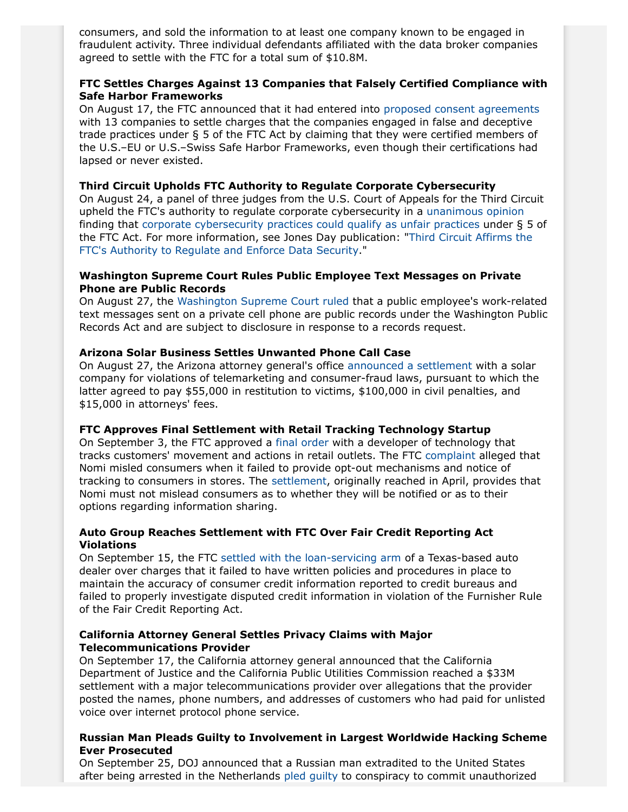consumers, and sold the information to at least one company known to be engaged in fraudulent activity. Three individual defendants affiliated with the data broker companies agreed to settle with the FTC for a total sum of \$10.8M.

# **FTC Settles Charges Against 13 Companies that Falsely Certified Compliance with Safe Harbor Frameworks**

On August 17, the FTC announced that it had entered into [proposed consent agreements](https://www.ftc.gov/news-events/press-releases/2015/08/thirteen-companies-agree-settle-ftc-charges-they-falsely-claimed) with 13 companies to settle charges that the companies engaged in false and deceptive trade practices under § 5 of the FTC Act by claiming that they were certified members of the U.S.–EU or U.S.–Swiss Safe Harbor Frameworks, even though their certifications had lapsed or never existed.

### <span id="page-7-0"></span>**Third Circuit Upholds FTC Authority to Regulate Corporate Cybersecurity**

On August 24, a panel of three judges from the U.S. Court of Appeals for the Third Circuit upheld the FTC's authority to regulate corporate cybersecurity in a [unanimous opinion](http://www2.ca3.uscourts.gov/opinarch/143514p.pdf) finding that [corporate cybersecurity practices could qualify as unfair practices](http://www.jonesday.com/third-circuit-affirms-the-ftcs-authority-to-regulate-and-enforce-data-security-08-28-2015/) under § 5 of the FTC Act. For more information, see Jones Day publication: "[Third Circuit Affirms the](http://www.jonesday.com/third-circuit-affirms-the-ftcs-authority-to-regulate-and-enforce-data-security-08-28-2015/) [FTC's Authority to Regulate and Enforce Data Security.](http://www.jonesday.com/third-circuit-affirms-the-ftcs-authority-to-regulate-and-enforce-data-security-08-28-2015/)"

# **Washington Supreme Court Rules Public Employee Text Messages on Private Phone are Public Records**

On August 27, the [Washington Supreme Court ruled](http://caselaw.findlaw.com/wa-supreme-court/1712016.html) that a public employee's work-related text messages sent on a private cell phone are public records under the Washington Public Records Act and are subject to disclosure in response to a records request.

# **Arizona Solar Business Settles Unwanted Phone Call Case**

On August 27, the Arizona attorney general's office [announced a settlement](https://www.azag.gov/press-release/ag-brnovich-announces-judgment-solar-telemarketing-lawsuit) with a solar company for violations of telemarketing and consumer-fraud laws, pursuant to which the latter agreed to pay \$55,000 in restitution to victims, \$100,000 in civil penalties, and \$15,000 in attorneys' fees.

### **FTC Approves Final Settlement with Retail Tracking Technology Startup**

On September 3, the FTC approved a [final order](https://www.ftc.gov/system/files/documents/cases/150902nomitechdo.pdf) with a developer of technology that tracks customers' movement and actions in retail outlets. The FTC [complaint](https://www.ftc.gov/system/files/documents/cases/150902nomitechcmpt.pdf) alleged that Nomi misled consumers when it failed to provide opt-out mechanisms and notice of tracking to consumers in stores. The [settlement,](https://www.ftc.gov/system/files/documents/cases/150423nomiorder.pdf) originally reached in April, provides that Nomi must not mislead consumers as to whether they will be notified or as to their options regarding information sharing.

# **Auto Group Reaches Settlement with FTC Over Fair Credit Reporting Act Violations**

On September 15, the FTC [settled with the loan-servicing arm](https://www.ftc.gov/es/system/files/documents/cases/150916tricolorstip.pdf) of a Texas-based auto dealer over charges that it failed to have written policies and procedures in place to maintain the accuracy of consumer credit information reported to credit bureaus and failed to properly investigate disputed credit information in violation of the Furnisher Rule of the Fair Credit Reporting Act.

### **California Attorney General Settles Privacy Claims with Major Telecommunications Provider**

On September 17, the California attorney general announced that the California Department of Justice and the California Public Utilities Commission reached a \$33M settlement with a major telecommunications provider over allegations that the provider posted the names, phone numbers, and addresses of customers who had paid for unlisted voice over internet protocol phone service.

# **Russian Man Pleads Guilty to Involvement in Largest Worldwide Hacking Scheme Ever Prosecuted**

On September 25, DOJ announced that a Russian man extradited to the United States after being arrested in the Netherlands [pled guilty](http://www.justice.gov/opa/pr/russian-national-admits-role-largest-known-data-breach-conspiracy-ever-prosecuted) to conspiracy to commit unauthorized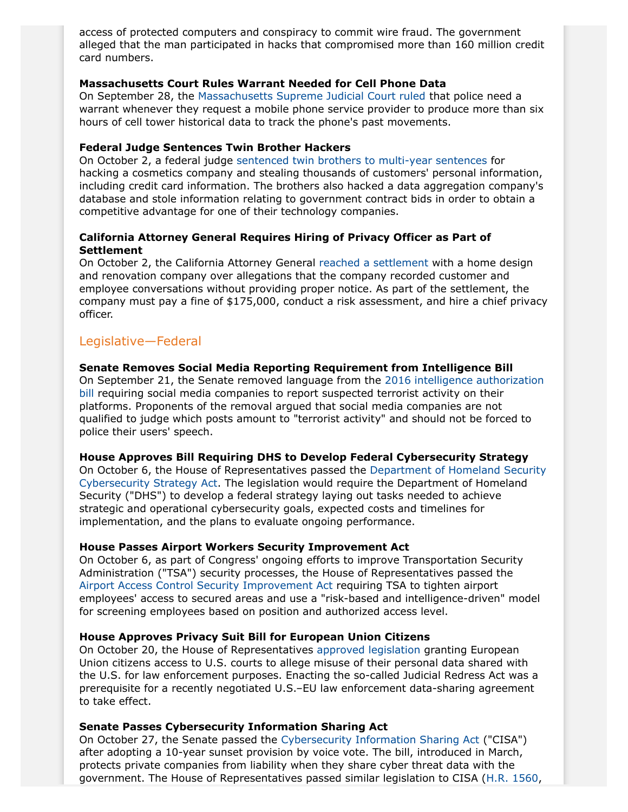access of protected computers and conspiracy to commit wire fraud. The government alleged that the man participated in hacks that compromised more than 160 million credit card numbers.

### **Massachusetts Court Rules Warrant Needed for Cell Phone Data**

On September 28, the [Massachusetts Supreme Judicial Court ruled](http://www.mass.gov/mdaa/court-decisions/by-topic/search-and-seizure/cellular-phone-records/commonwealth-v-estabrook.html) that police need a warrant whenever they request a mobile phone service provider to produce more than six hours of cell tower historical data to track the phone's past movements.

# **Federal Judge Sentences Twin Brother Hackers**

On October 2, a federal judge [sentenced twin brothers to multi-year sentences](http://abcnews.go.com/US/wireStory/woman-receives-probation-dupont-economic-espionage-case-34138165) for hacking a cosmetics company and stealing thousands of customers' personal information, including credit card information. The brothers also hacked a data aggregation company's database and stole information relating to government contract bids in order to obtain a competitive advantage for one of their technology companies.

# **California Attorney General Requires Hiring of Privacy Officer as Part of Settlement**

On October 2, the California Attorney General [reached a settlement](https://oag.ca.gov/news/press-releases/attorney-general-kamala-d-harris-announces-settlement-houzz-inc-over-privacy) with a home design and renovation company over allegations that the company recorded customer and employee conversations without providing proper notice. As part of the settlement, the company must pay a fine of \$175,000, conduct a risk assessment, and hire a chief privacy officer.

# Legislative—Federal

### **Senate Removes Social Media Reporting Requirement from Intelligence Bill**

On September 21, the Senate removed language from the [2016 intelligence authorization](https://www.congress.gov/114/bills/s1705/BILLS-114s1705pcs.pdf) [bill](https://www.congress.gov/114/bills/s1705/BILLS-114s1705pcs.pdf) requiring social media companies to report suspected terrorist activity on their platforms. Proponents of the removal argued that social media companies are not qualified to judge which posts amount to "terrorist activity" and should not be forced to police their users' speech.

#### **House Approves Bill Requiring DHS to Develop Federal Cybersecurity Strategy**

On October 6, the House of Representatives passed the [Department of Homeland Security](https://www.congress.gov/114/bills/hr3510/BILLS-114hr3510eh.pdf) [Cybersecurity Strategy Act](https://www.congress.gov/114/bills/hr3510/BILLS-114hr3510eh.pdf). The legislation would require the Department of Homeland Security ("DHS") to develop a federal strategy laying out tasks needed to achieve strategic and operational cybersecurity goals, expected costs and timelines for implementation, and the plans to evaluate ongoing performance.

#### **House Passes Airport Workers Security Improvement Act**

On October 6, as part of Congress' ongoing efforts to improve Transportation Security Administration ("TSA") security processes, the House of Representatives passed the [Airport Access Control Security Improvement Act](https://www.congress.gov/114/bills/hr3102/BILLS-114hr3102rh.pdf) requiring TSA to tighten airport employees' access to secured areas and use a "risk-based and intelligence-driven" model for screening employees based on position and authorized access level.

# **House Approves Privacy Suit Bill for European Union Citizens**

On October 20, the House of Representatives [approved legislation](http://judiciary.house.gov/_cache/files/8a28056b-387e-46f2-8c80-655249f4ae8f/hr-1428.pdf) granting European Union citizens access to U.S. courts to allege misuse of their personal data shared with the U.S. for law enforcement purposes. Enacting the so-called Judicial Redress Act was a prerequisite for a recently negotiated U.S.–EU law enforcement data-sharing agreement to take effect.

# <span id="page-8-0"></span>**Senate Passes Cybersecurity Information Sharing Act**

On October 27, the Senate passed the [Cybersecurity Information Sharing Act](https://www.congress.gov/114/bills/s754/BILLS-114s754pcs.pdf) ("CISA") after adopting a 10-year sunset provision by voice vote. The bill, introduced in March, protects private companies from liability when they share cyber threat data with the government. The House of Representatives passed similar legislation to CISA [\(H.R. 1560,](https://www.congress.gov/114/bills/hr1560/BILLS-114hr1560rds.pdf)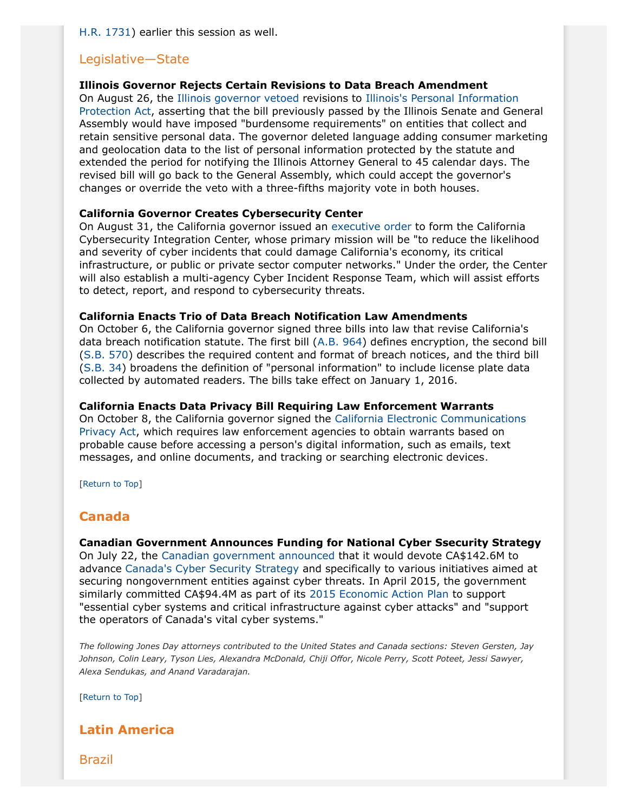[H.R. 1731\)](https://www.congress.gov/114/bills/hr1731/BILLS-114hr1731rh.pdf) earlier this session as well.

# Legislative—State

### **Illinois Governor Rejects Certain Revisions to Data Breach Amendment**

On August 26, the [Illinois governor vetoed](http://www.ilga.gov/legislation/99/SB/PDF/09900SB1833gms.pdf) revisions to [Illinois's Personal Information](http://www.ilga.gov/legislation/99/SB/PDF/09900SB1833enr.pdf) [Protection Act](http://www.ilga.gov/legislation/99/SB/PDF/09900SB1833enr.pdf), asserting that the bill previously passed by the Illinois Senate and General Assembly would have imposed "burdensome requirements" on entities that collect and retain sensitive personal data. The governor deleted language adding consumer marketing and geolocation data to the list of personal information protected by the statute and extended the period for notifying the Illinois Attorney General to 45 calendar days. The revised bill will go back to the General Assembly, which could accept the governor's changes or override the veto with a three-fifths majority vote in both houses.

# **California Governor Creates Cybersecurity Center**

On August 31, the California governor issued an [executive order](https://www.gov.ca.gov/news.php?id=19083) to form the California Cybersecurity Integration Center, whose primary mission will be "to reduce the likelihood and severity of cyber incidents that could damage California's economy, its critical infrastructure, or public or private sector computer networks." Under the order, the Center will also establish a multi-agency Cyber Incident Response Team, which will assist efforts to detect, report, and respond to cybersecurity threats.

#### **California Enacts Trio of Data Breach Notification Law Amendments**

On October 6, the California governor signed three bills into law that revise California's data breach notification statute. The first bill ([A.B. 964](http://leginfo.legislature.ca.gov/faces/billNavClient.xhtml?bill_id=201520160AB964)) defines encryption, the second bill ([S.B. 570](http://leginfo.legislature.ca.gov/faces/billNavClient.xhtml?bill_id=201520160SB570)) describes the required content and format of breach notices, and the third bill ([S.B. 34\)](http://leginfo.legislature.ca.gov/faces/billNavClient.xhtml?bill_id=201520160SB34) broadens the definition of "personal information" to include license plate data collected by automated readers. The bills take effect on January 1, 2016.

#### **California Enacts Data Privacy Bill Requiring Law Enforcement Warrants**

On October 8, the California governor signed the [California Electronic Communications](http://leginfo.legislature.ca.gov/faces/billNavClient.xhtml?bill_id=201520160SB178) [Privacy Act,](http://leginfo.legislature.ca.gov/faces/billNavClient.xhtml?bill_id=201520160SB178) which requires law enforcement agencies to obtain warrants based on probable cause before accessing a person's digital information, such as emails, text messages, and online documents, and tracking or searching electronic devices.

[Return to Top]

# <span id="page-9-0"></span>**Canada**

**Canadian Government Announces Funding for National Cyber Ssecurity Strategy** On July 22, the [Canadian government announced](http://news.gc.ca/web/article-en.do?nid=1004989) that it would devote CA\$142.6M to advance [Canada's Cyber Security Strategy](http://www.publicsafety.gc.ca/cnt/rsrcs/pblctns/cbr-scrt-strtgy/cbr-scrt-strtgy-eng.pdf) and specifically to various initiatives aimed at securing nongovernment entities against cyber threats. In April 2015, the government similarly committed CA\$94.4M as part of its [2015 Economic Action Plan](http://www.budget.gc.ca/2015/docs/plan/budget2015-eng.pdf) to support "essential cyber systems and critical infrastructure against cyber attacks" and "support the operators of Canada's vital cyber systems."

*The following Jones Day attorneys contributed to the United States and Canada sections: Steven Gersten, Jay Johnson, Colin Leary, Tyson Lies, Alexandra McDonald, Chiji Offor, Nicole Perry, Scott Poteet, Jessi Sawyer, Alexa Sendukas, and Anand Varadarajan.*

[Return to Top]

# <span id="page-9-1"></span>**Latin America**

Brazil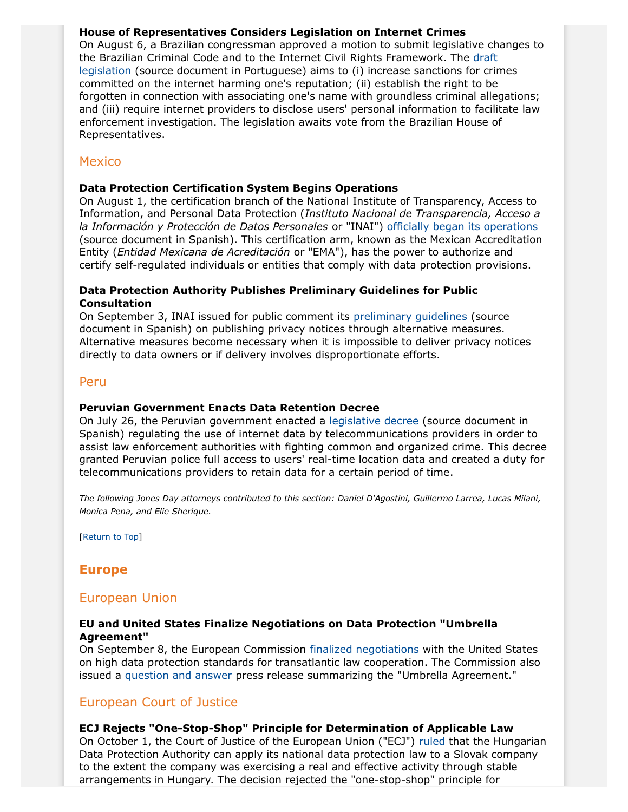# **House of Representatives Considers Legislation on Internet Crimes**

On August 6, a Brazilian congressman approved a motion to submit legislative changes to the Brazilian Criminal Code and to the Internet Civil Rights Framework. The [draft](http://www.camara.gov.br/proposicoesWeb/prop_mostrarintegra;jsessionid=1527385AEBFB502D658C4B2817A47870.proposicoesWeb1?codteor=1367703&filename=Tramitacao-PL+215/2015) [legislation](http://www.camara.gov.br/proposicoesWeb/prop_mostrarintegra;jsessionid=1527385AEBFB502D658C4B2817A47870.proposicoesWeb1?codteor=1367703&filename=Tramitacao-PL+215/2015) (source document in Portuguese) aims to (i) increase sanctions for crimes committed on the internet harming one's reputation; (ii) establish the right to be forgotten in connection with associating one's name with groundless criminal allegations; and (iii) require internet providers to disclose users' personal information to facilitate law enforcement investigation. The legislation awaits vote from the Brazilian House of Representatives.

# Mexico

# <span id="page-10-1"></span>**Data Protection Certification System Begins Operations**

On August 1, the certification branch of the National Institute of Transparency, Access to Information, and Personal Data Protection (*Instituto Nacional de Transparencia, Acceso a la Información y Protección de Datos Personales* or "INAI") [officially began its operations](http://inicio.ifai.org.mx/Comunicados/Comunicado%20INAI-062-15.pdf) (source document in Spanish). This certification arm, known as the Mexican Accreditation Entity (*Entidad Mexicana de Acreditación* or "EMA"), has the power to authorize and certify self-regulated individuals or entities that comply with data protection provisions.

# **Data Protection Authority Publishes Preliminary Guidelines for Public Consultation**

On September 3, INAI issued for public comment its [preliminary guidelines](http://consultahipervinculos.inai.org.mx/SitePages/Comments.aspx) (source document in Spanish) on publishing privacy notices through alternative measures. Alternative measures become necessary when it is impossible to deliver privacy notices directly to data owners or if delivery involves disproportionate efforts.

# Peru

# **Peruvian Government Enacts Data Retention Decree**

On July 26, the Peruvian government enacted a [legislative decree](http://www.elperuano.com.pe/NormasElperuano/2015/07/27/1268121-1.html) (source document in Spanish) regulating the use of internet data by telecommunications providers in order to assist law enforcement authorities with fighting common and organized crime. This decree granted Peruvian police full access to users' real-time location data and created a duty for telecommunications providers to retain data for a certain period of time.

*The following Jones Day attorneys contributed to this section: Daniel D'Agostini, Guillermo Larrea, Lucas Milani, Monica Pena, and Elie Sherique.*

[Return to Top]

# <span id="page-10-0"></span>**Europe**

# European Union

# **EU and United States Finalize Negotiations on Data Protection "Umbrella Agreement"**

On September 8, the European Commission [finalized negotiations](http://europa.eu/rapid/press-release_STATEMENT-15-5610_en.htm) with the United States on high data protection standards for transatlantic law cooperation. The Commission also issued a [question and answer](http://europa.eu/rapid/press-release_MEMO-15-5612_en.htm) press release summarizing the "Umbrella Agreement."

# European Court of Justice

# **ECJ Rejects "One-Stop-Shop" Principle for Determination of Applicable Law**

On October 1, the Court of Justice of the European Union ("ECJ") [ruled](http://curia.europa.eu/juris/document/document.jsf?text=&docid=168944&pageIndex=0&doclang=en&mode=lst&dir=&occ=first&part=1&cid=317949) that the Hungarian Data Protection Authority can apply its national data protection law to a Slovak company to the extent the company was exercising a real and effective activity through stable arrangements in Hungary. The decision rejected the "one-stop-shop" principle for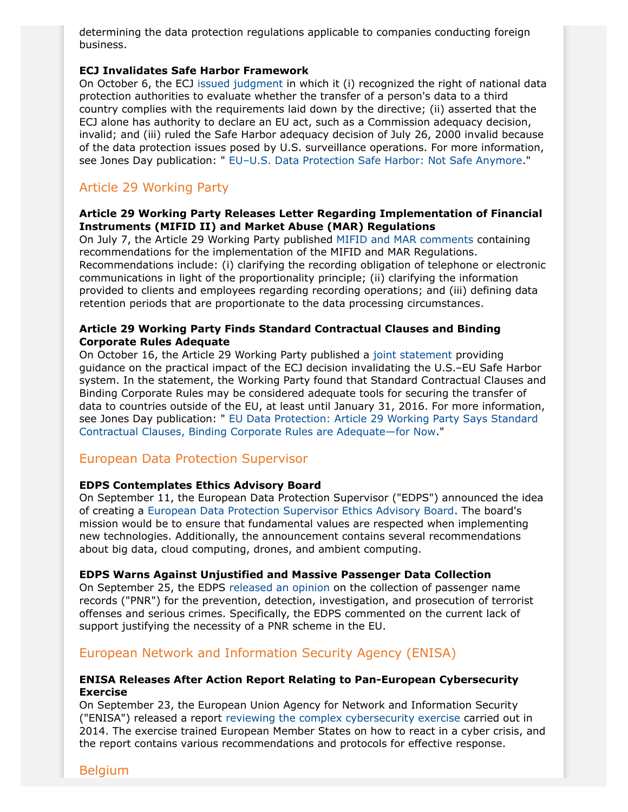determining the data protection regulations applicable to companies conducting foreign business.

#### <span id="page-11-0"></span>**ECJ Invalidates Safe Harbor Framework**

On October 6, the ECJ [issued judgment](http://curia.europa.eu/juris/document/document.jsf?text=&docid=169195&doclang=en) in which it (i) recognized the right of national data protection authorities to evaluate whether the transfer of a person's data to a third country complies with the requirements laid down by the directive; (ii) asserted that the ECJ alone has authority to declare an EU act, such as a Commission adequacy decision, invalid; and (iii) ruled the Safe Harbor adequacy decision of July 26, 2000 invalid because of the data protection issues posed by U.S. surveillance operations. For more information, see Jones Day publication: " [EU–U.S. Data Protection Safe Harbor: Not Safe Anymore](http://www.jonesday.com/euus-data-protection-safe-harbor-not-safe-anymore-10-06-2015/)."

# Article 29 Working Party

# **Article 29 Working Party Releases Letter Regarding Implementation of Financial Instruments (MIFID II) and Market Abuse (MAR) Regulations**

On July 7, the Article 29 Working Party published [MIFID and MAR comments](http://ec.europa.eu/justice/data-protection/article-29/documentation/other-document/files/2015/20150707_letter_from_art29_wp_to_dgfisma_on_coming_delegated_acts_implementing_mifid2vf.pdf) containing recommendations for the implementation of the MIFID and MAR Regulations. Recommendations include: (i) clarifying the recording obligation of telephone or electronic communications in light of the proportionality principle; (ii) clarifying the information provided to clients and employees regarding recording operations; and (iii) defining data retention periods that are proportionate to the data processing circumstances.

# **Article 29 Working Party Finds Standard Contractual Clauses and Binding Corporate Rules Adequate**

On October 16, the Article 29 Working Party published a [joint statement](http://ec.europa.eu/justice/data-protection/article-29/press-material/press-release/art29_press_material/2015/20151016_wp29_statement_on_schrems_judgement.pdf) providing guidance on the practical impact of the ECJ decision invalidating the U.S.–EU Safe Harbor system. In the statement, the Working Party found that Standard Contractual Clauses and Binding Corporate Rules may be considered adequate tools for securing the transfer of data to countries outside of the EU, at least until January 31, 2016. For more information, see Jones Day publication: " [EU Data Protection: Article 29 Working Party Says Standard](http://www.jonesday.com/eu-data-protection-article-29-working-party-says-standard-contractual-clauses-binding-corporate-rules-are-adequatefor-now-10-19-20151/) [Contractual Clauses, Binding Corporate Rules are Adequate—for Now](http://www.jonesday.com/eu-data-protection-article-29-working-party-says-standard-contractual-clauses-binding-corporate-rules-are-adequatefor-now-10-19-20151/)."

# European Data Protection Supervisor

# **EDPS Contemplates Ethics Advisory Board**

On September 11, the European Data Protection Supervisor ("EDPS") announced the idea of creating a [European Data Protection Supervisor Ethics Advisory Board](https://secure.edps.europa.eu/EDPSWEB/webdav/site/mySite/shared/Documents/Consultation/Opinions/2015/15-09-11_Data_Ethics_EN.pdf). The board's mission would be to ensure that fundamental values are respected when implementing new technologies. Additionally, the announcement contains several recommendations about big data, cloud computing, drones, and ambient computing.

#### **EDPS Warns Against Unjustified and Massive Passenger Data Collection**

On September 25, the EDPS [released an opinion](https://secure.edps.europa.eu/EDPSWEB/webdav/site/mySite/shared/Documents/Consultation/Opinions/2015/15-09-24_PNR_EN.pdf) on the collection of passenger name records ("PNR") for the prevention, detection, investigation, and prosecution of terrorist offenses and serious crimes. Specifically, the EDPS commented on the current lack of support justifying the necessity of a PNR scheme in the EU.

# European Network and Information Security Agency (ENISA)

### **ENISA Releases After Action Report Relating to Pan-European Cybersecurity Exercise**

On September 23, the European Union Agency for Network and Information Security ("ENISA") released a report [reviewing the complex cybersecurity exercise](https://www.enisa.europa.eu/activities/Resilience-and-CIIP/cyber-crisis-cooperation/cce/cyber-europe/ce2014) carried out in 2014. The exercise trained European Member States on how to react in a cyber crisis, and the report contains various recommendations and protocols for effective response.

Belgium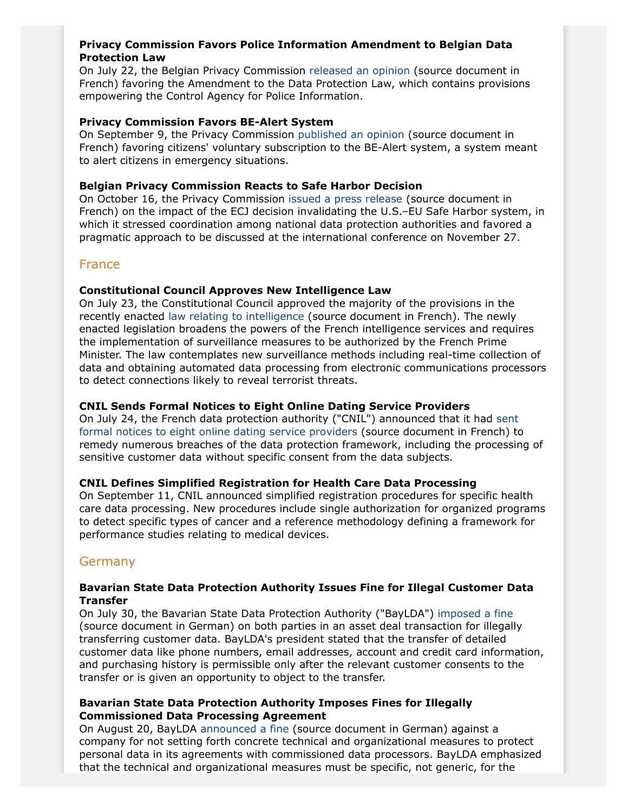# **Privacy Commission Favors Police Information Amendment to Belgian Data Protection Law**

On July 22, the Belgian Privacy Commission [released an opinion](http://www.privacycommission.be/sites/privacycommission/files/documents/avis_30_2015.pdf) (source document in French) favoring the Amendment to the Data Protection Law, which contains provisions empowering the Control Agency for Police Information.

# **Privacy Commission Favors BE-Alert System**

On September 9, the Privacy Commission [published an opinion](http://www.privacycommission.be/sites/privacycommission/files/documents/avis_34_2015.pdf) (source document in French) favoring citizens' voluntary subscription to the BE-Alert system, a system meant to alert citizens in emergency situations.

# **Belgian Privacy Commission Reacts to Safe Harbor Decision**

On October 16, the Privacy Commission [issued a press release](http://www.privacycommission.be/fr/news/la-commission-vie-privee-se-prononce-sur-larret-de-la-cour-de-justice-de-lunion-europeenne) (source document in French) on the impact of the ECJ decision invalidating the U.S.–EU Safe Harbor system, in which it stressed coordination among national data protection authorities and favored a pragmatic approach to be discussed at the international conference on November 27.

# France

# **Constitutional Council Approves New Intelligence Law**

On July 23, the Constitutional Council approved the majority of the provisions in the recently enacted [law relating to intelligence](http://www.legifrance.gouv.fr/eli/loi/2015/7/24/PRMX1504410L/jo/texte) (source document in French). The newly enacted legislation broadens the powers of the French intelligence services and requires the implementation of surveillance measures to be authorized by the French Prime Minister. The law contemplates new surveillance methods including real-time collection of data and obtaining automated data processing from electronic communications processors to detect connections likely to reveal terrorist threats.

# **CNIL Sends Formal Notices to Eight Online Dating Service Providers**

On July 24, the French data protection authority ("CNIL") announced that it had [sent](http://www.cnil.fr/linstitution/actualite/article/article/donnees-traitees-par-les-sites-de-rencontre-8-mises-en-demeure/) [formal notices to eight online dating service providers](http://www.cnil.fr/linstitution/actualite/article/article/donnees-traitees-par-les-sites-de-rencontre-8-mises-en-demeure/) (source document in French) to remedy numerous breaches of the data protection framework, including the processing of sensitive customer data without specific consent from the data subjects.

# **CNIL Defines Simplified Registration for Health Care Data Processing**

On September 11, CNIL announced simplified registration procedures for specific health care data processing. New procedures include single authorization for organized programs to detect specific types of cancer and a reference methodology defining a framework for performance studies relating to medical devices.

# **Germany**

# **Bavarian State Data Protection Authority Issues Fine for Illegal Customer Data Transfer**

On July 30, the Bavarian State Data Protection Authority ("BayLDA") [imposed a fine](https://www.lda.bayern.de/lda/datenschutzaufsicht/lda_daten/150730%20-%20PM%20Unternehmenskauf.pdf) (source document in German) on both parties in an asset deal transaction for illegally transferring customer data. BayLDA's president stated that the transfer of detailed customer data like phone numbers, email addresses, account and credit card information, and purchasing history is permissible only after the relevant customer consents to the transfer or is given an opportunity to object to the transfer.

# **Bavarian State Data Protection Authority Imposes Fines for Illegally Commissioned Data Processing Agreement**

On August 20, BayLDA [announced a fine](http://www.lda.bayern.de/lda/datenschutzaufsicht/lda_daten/150820%20-%20PM%20Bu%C3%9Fgeld%20Auftragsdatenverarbeitung.pdf) (source document in German) against a company for not setting forth concrete technical and organizational measures to protect personal data in its agreements with commissioned data processors. BayLDA emphasized that the technical and organizational measures must be specific, not generic, for the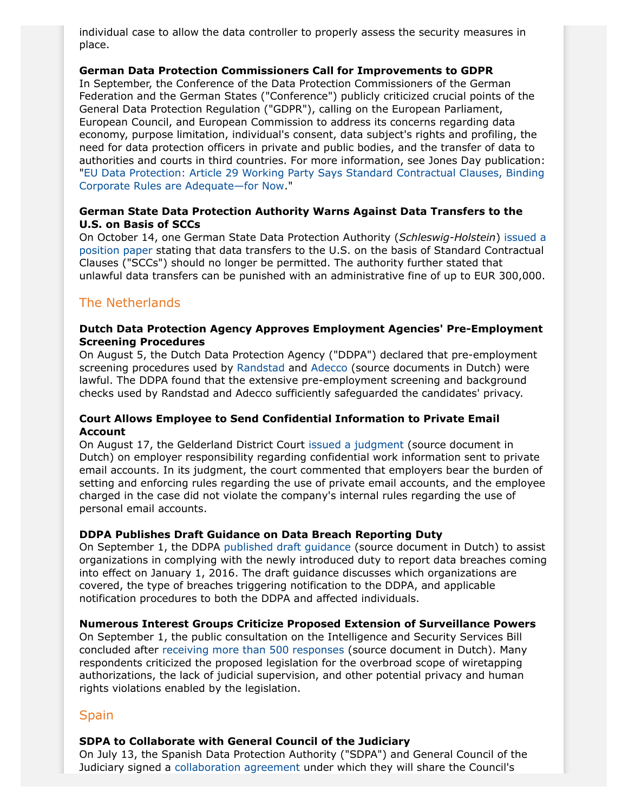individual case to allow the data controller to properly assess the security measures in place.

### **German Data Protection Commissioners Call for Improvements to GDPR**

In September, the Conference of the Data Protection Commissioners of the German Federation and the German States ("Conference") publicly criticized crucial points of the General Data Protection Regulation ("GDPR"), calling on the European Parliament, European Council, and European Commission to address its concerns regarding data economy, purpose limitation, individual's consent, data subject's rights and profiling, the need for data protection officers in private and public bodies, and the transfer of data to authorities and courts in third countries. For more information, see Jones Day publication: "[EU Data Protection: Article 29 Working Party Says Standard Contractual Clauses, Binding](http://www.jonesday.com/eu-data-protection-article-29-working-party-says-standard-contractual-clauses-binding-corporate-rules-are-adequatefor-now-10-19-20151/) [Corporate Rules are Adequate—for Now](http://www.jonesday.com/eu-data-protection-article-29-working-party-says-standard-contractual-clauses-binding-corporate-rules-are-adequatefor-now-10-19-20151/)."

# **German State Data Protection Authority Warns Against Data Transfers to the U.S. on Basis of SCCs**

On October 14, one German State Data Protection Authority (*Schleswig-Holstein*) [issued a](https://www.datenschutzzentrum.de/artikel/981-ULD-Position-Paper-on-the-Judgment-of-the-Court-of-Justice-of-the-European-Union-of-6-October-2015,-C-36214.html) [position paper](https://www.datenschutzzentrum.de/artikel/981-ULD-Position-Paper-on-the-Judgment-of-the-Court-of-Justice-of-the-European-Union-of-6-October-2015,-C-36214.html) stating that data transfers to the U.S. on the basis of Standard Contractual Clauses ("SCCs") should no longer be permitted. The authority further stated that unlawful data transfers can be punished with an administrative fine of up to EUR 300,000.

# The Netherlands

### **Dutch Data Protection Agency Approves Employment Agencies' Pre-Employment Screening Procedures**

On August 5, the Dutch Data Protection Agency ("DDPA") declared that pre-employment screening procedures used by [Randstad](https://cbpweb.nl/nl/nieuws/besluit-pre-employment-screening-door-randstad) and [Adecco](https://cbpweb.nl/nl/nieuws/besluit-pre-employment-screening-door-adecco) (source documents in Dutch) were lawful. The DDPA found that the extensive pre-employment screening and background checks used by Randstad and Adecco sufficiently safeguarded the candidates' privacy.

# **Court Allows Employee to Send Confidential Information to Private Email Account**

On August 17, the Gelderland District Court [issued a judgment](http://uitspraken.rechtspraak.nl/inziendocument?id=ECLI:NL:RBGEL:2015:5299) (source document in Dutch) on employer responsibility regarding confidential work information sent to private email accounts. In its judgment, the court commented that employers bear the burden of setting and enforcing rules regarding the use of private email accounts, and the employee charged in the case did not violate the company's internal rules regarding the use of personal email accounts.

# **DDPA Publishes Draft Guidance on Data Breach Reporting Duty**

On September 1, the DDPA [published draft guidance](https://cbpweb.nl/sites/default/files/atoms/files/richtsnoeren_meldplicht_datalekken.pdf) (source document in Dutch) to assist organizations in complying with the newly introduced duty to report data breaches coming into effect on January 1, 2016. The draft guidance discusses which organizations are covered, the type of breaches triggering notification to the DDPA, and applicable notification procedures to both the DDPA and affected individuals.

# **Numerous Interest Groups Criticize Proposed Extension of Surveillance Powers**

On September 1, the public consultation on the Intelligence and Security Services Bill concluded after [receiving more than 500 responses](https://www.internetconsultatie.nl/wiv/reacties/datum) (source document in Dutch). Many respondents criticized the proposed legislation for the overbroad scope of wiretapping authorizations, the lack of judicial supervision, and other potential privacy and human rights violations enabled by the legislation.

# **Spain**

#### **SDPA to Collaborate with General Council of the Judiciary**

On July 13, the Spanish Data Protection Authority ("SDPA") and General Council of the Judiciary signed a [collaboration agreement](https://www.agpd.es/portalwebAGPD/LaAgencia/gestion_economica/convenios/common/Convenio_CENDOJ-AEPD.pdf) under which they will share the Council's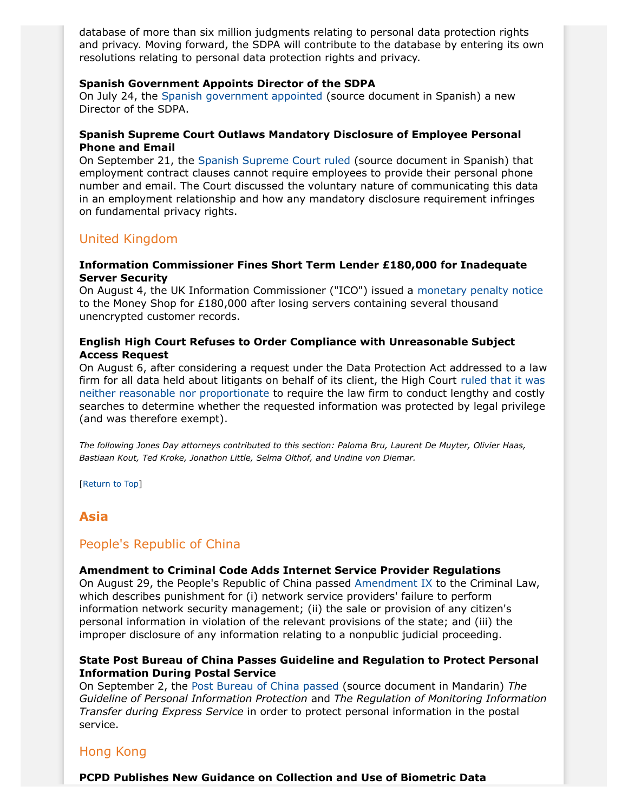database of more than six million judgments relating to personal data protection rights and privacy. Moving forward, the SDPA will contribute to the database by entering its own resolutions relating to personal data protection rights and privacy.

### **Spanish Government Appoints Director of the SDPA**

On July 24, the [Spanish government appointed](http://www.boe.es/boe/dias/2015/07/25/pdfs/BOE-A-2015-8350.pdf) (source document in Spanish) a new Director of the SDPA.

# **Spanish Supreme Court Outlaws Mandatory Disclosure of Employee Personal Phone and Email**

On September 21, the [Spanish Supreme Court ruled](http://www.poderjudicial.es/cgpj/es/Poder-Judicial/Noticias-Judiciales/Una-empresa-no-podra-obligar-al-trabajador-a-facilitar-el-telefono-movil-y-el-correo-electronico-en-el-contrato) (source document in Spanish) that employment contract clauses cannot require employees to provide their personal phone number and email. The Court discussed the voluntary nature of communicating this data in an employment relationship and how any mandatory disclosure requirement infringes on fundamental privacy rights.

# United Kingdom

# **Information Commissioner Fines Short Term Lender £180,000 for Inadequate Server Security**

On August 4, the UK Information Commissioner ("ICO") issued a [monetary penalty notice](https://ico.org.uk/media/action-weve-taken/mpns/1432279/the-money-shop-monetary-penalty-notice.pdf) to the Money Shop for £180,000 after losing servers containing several thousand unencrypted customer records.

# **English High Court Refuses to Order Compliance with Unreasonable Subject Access Request**

On August 6, after considering a request under the Data Protection Act addressed to a law firm for all data held about litigants on behalf of its client, the High Court [ruled that it was](http://www.bailii.org/ew/cases/EWHC/Ch/2015/2366.html) [neither reasonable nor proportionate](http://www.bailii.org/ew/cases/EWHC/Ch/2015/2366.html) to require the law firm to conduct lengthy and costly searches to determine whether the requested information was protected by legal privilege (and was therefore exempt).

*The following Jones Day attorneys contributed to this section: Paloma Bru, Laurent De Muyter, Olivier Haas, Bastiaan Kout, Ted Kroke, Jonathon Little, Selma Olthof, and Undine von Diemar.*

[Return to Top]

# <span id="page-14-0"></span>**Asia**

# People's Republic of China

# **Amendment to Criminal Code Adds Internet Service Provider Regulations**

On August 29, the People's Republic of China passed [Amendment IX](http://www.npc.gov.cn/englishnpc/Law/2007-12/06/content_1382078.htm) to the Criminal Law, which describes punishment for (i) network service providers' failure to perform information network security management; (ii) the sale or provision of any citizen's personal information in violation of the relevant provisions of the state; and (iii) the improper disclosure of any information relating to a nonpublic judicial proceeding.

# **State Post Bureau of China Passes Guideline and Regulation to Protect Personal Information During Postal Service**

On September 2, the [Post Bureau of China](http://www.zgjtb.com/2015-09/07/content_48312.htm) passed (source document in Mandarin) *The Guideline of Personal Information Protection* and *The Regulation of Monitoring Information Transfer during Express Service* in order to protect personal information in the postal service.

# Hong Kong

**PCPD Publishes New Guidance on Collection and Use of Biometric Data**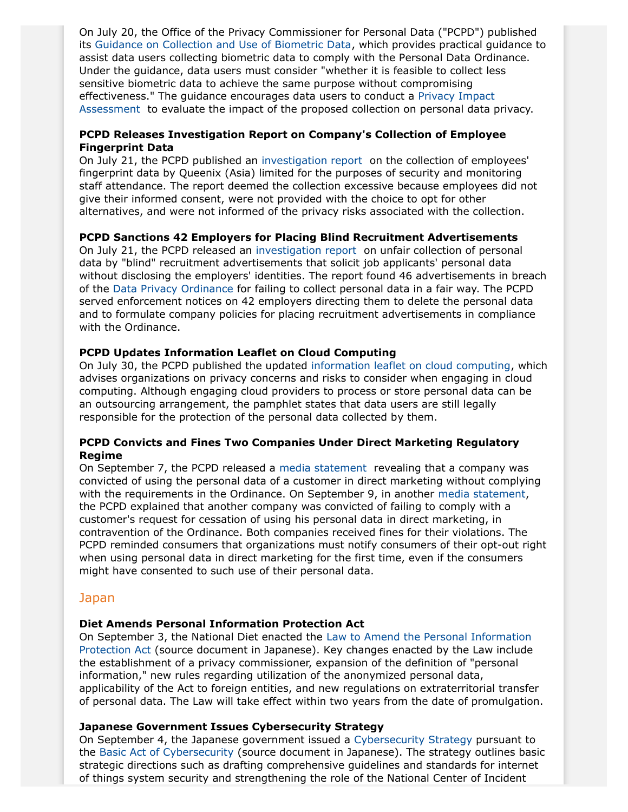On July 20, the Office of the Privacy Commissioner for Personal Data ("PCPD") published its [Guidance on Collection and Use of Biometric Data,](https://www.pcpd.org.hk/english/resources_centre/publications/files/GN_biometric_e.pdf) which provides practical guidance to assist data users collecting biometric data to comply with the Personal Data Ordinance. Under the guidance, data users must consider "whether it is feasible to collect less sensitive biometric data to achieve the same purpose without compromising effectiveness." The guidance encourages data users to conduct a [Privacy Impact](https://www.pcpd.org.hk/english/resources_centre/publications/files/PIAleaflet_e.pdf) [Assessment](https://www.pcpd.org.hk/english/resources_centre/publications/files/PIAleaflet_e.pdf) to evaluate the impact of the proposed collection on personal data privacy.

# **PCPD Releases Investigation Report on Company's Collection of Employee Fingerprint Data**

On July 21, the PCPD published an [investigation report](https://www.pcpd.org.hk/english/enforcement/commissioners_findings/investigation_reports/files/R15_2308_e.pdf) on the collection of employees' fingerprint data by Queenix (Asia) limited for the purposes of security and monitoring staff attendance. The report deemed the collection excessive because employees did not give their informed consent, were not provided with the choice to opt for other alternatives, and were not informed of the privacy risks associated with the collection.

# **PCPD Sanctions 42 Employers for Placing Blind Recruitment Advertisements**

On July 21, the PCPD released an [investigation report](https://www.pcpd.org.hk/english/enforcement/commissioners_findings/investigation_reports/files/R15_8107_e.pdf) on unfair collection of personal data by "blind" recruitment advertisements that solicit job applicants' personal data without disclosing the employers' identities. The report found 46 advertisements in breach of the [Data Privacy Ordinance](https://www.pcpd.org.hk/english/data_privacy_law/ordinance_at_a_Glance/ordinance.html) for failing to collect personal data in a fair way. The PCPD served enforcement notices on 42 employers directing them to delete the personal data and to formulate company policies for placing recruitment advertisements in compliance with the Ordinance.

# **PCPD Updates Information Leaflet on Cloud Computing**

On July 30, the PCPD published the updated [information leaflet on cloud computing](https://www.pcpd.org.hk/english/resources_centre/publications/files/IL_cloud_e.pdf), which advises organizations on privacy concerns and risks to consider when engaging in cloud computing. Although engaging cloud providers to process or store personal data can be an outsourcing arrangement, the pamphlet states that data users are still legally responsible for the protection of the personal data collected by them.

# **PCPD Convicts and Fines Two Companies Under Direct Marketing Regulatory Regime**

On September 7, the PCPD released a [media statement](https://www.pcpd.org.hk/english/news_events/media_statements/press_20150914.html) revealing that a company was convicted of using the personal data of a customer in direct marketing without complying with the requirements in the Ordinance. On September 9, in another [media statement,](https://www.pcpd.org.hk/english/news_events/media_statements/press_20150909.html) the PCPD explained that another company was convicted of failing to comply with a customer's request for cessation of using his personal data in direct marketing, in contravention of the Ordinance. Both companies received fines for their violations. The PCPD reminded consumers that organizations must notify consumers of their opt-out right when using personal data in direct marketing for the first time, even if the consumers might have consented to such use of their personal data.

# Japan

# **Diet Amends Personal Information Protection Act**

On September 3, the National Diet enacted the [Law to Amend the Personal Information](http://www.kantei.go.jp/jp/singi/it2/pd/pdf/houritu_riyu.pdf) [Protection Act](http://www.kantei.go.jp/jp/singi/it2/pd/pdf/houritu_riyu.pdf) (source document in Japanese). Key changes enacted by the Law include the establishment of a privacy commissioner, expansion of the definition of "personal information," new rules regarding utilization of the anonymized personal data, applicability of the Act to foreign entities, and new regulations on extraterritorial transfer of personal data. The Law will take effect within two years from the date of promulgation.

# <span id="page-15-0"></span>**Japanese Government Issues Cybersecurity Strategy**

On September 4, the Japanese government issued a [Cybersecurity Strategy](http://www.nisc.go.jp/eng/pdf/cs-strategy-en.pdf) pursuant to the [Basic Act of Cybersecurity](http://law.e-gov.go.jp/htmldata/H26/H26HO104.html) (source document in Japanese). The strategy outlines basic strategic directions such as drafting comprehensive guidelines and standards for internet of things system security and strengthening the role of the National Center of Incident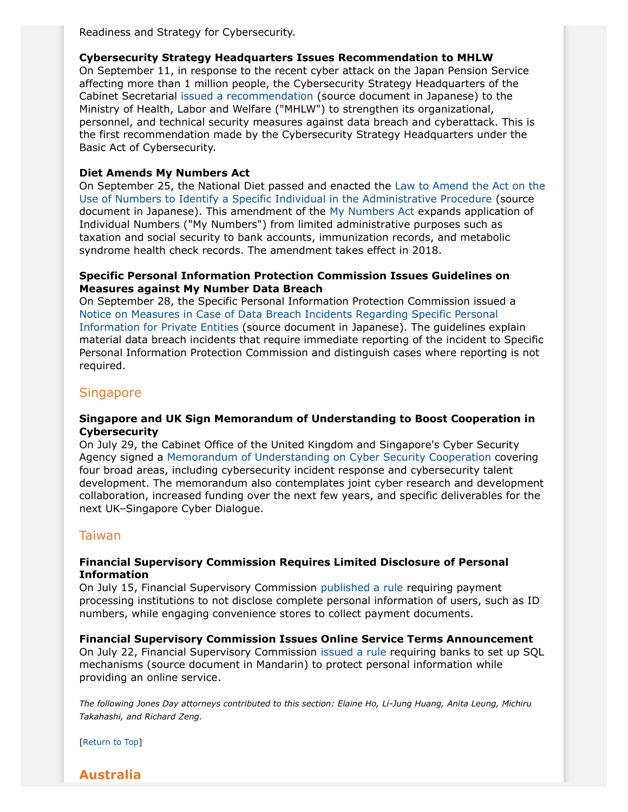Readiness and Strategy for Cybersecurity.

### **Cybersecurity Strategy Headquarters Issues Recommendation to MHLW**

On September 11, in response to the recent cyber attack on the Japan Pension Service affecting more than 1 million people, the Cybersecurity Strategy Headquarters of the Cabinet Secretarial [issued a recommendation](http://www.nisc.go.jp/press/pdf/kankoku20150911_press.pdf) (source document in Japanese) to the Ministry of Health, Labor and Welfare ("MHLW") to strengthen its organizational, personnel, and technical security measures against data breach and cyberattack. This is the first recommendation made by the Cybersecurity Strategy Headquarters under the Basic Act of Cybersecurity.

# **Diet Amends My Numbers Act**

On September 25, the National Diet passed and enacted the [Law to Amend the Act on the](http://www.kantei.go.jp/jp/singi/it2/pd/pdf/houritu_riyu.pdf) [Use of Numbers to Identify a Specific Individual in the Administrative Procedure](http://www.kantei.go.jp/jp/singi/it2/pd/pdf/houritu_riyu.pdf) (source document in Japanese). This amendment of the [My Numbers Act](http://www.ppc.go.jp/files/pdf/en3.pdf) expands application of Individual Numbers ("My Numbers") from limited administrative purposes such as taxation and social security to bank accounts, immunization records, and metabolic syndrome health check records. The amendment takes effect in 2018.

### **Specific Personal Information Protection Commission Issues Guidelines on Measures against My Number Data Breach**

On September 28, the Specific Personal Information Protection Commission issued a [Notice on Measures in Case of Data Breach Incidents Regarding Specific Personal](http://www.ppc.go.jp/files/pdf/270928_jigyousha_roueitaiou.pdf) [Information for Private Entities](http://www.ppc.go.jp/files/pdf/270928_jigyousha_roueitaiou.pdf) (source document in Japanese). The guidelines explain material data breach incidents that require immediate reporting of the incident to Specific Personal Information Protection Commission and distinguish cases where reporting is not required.

# **Singapore**

#### **Singapore and UK Sign Memorandum of Understanding to Boost Cooperation in Cybersecurity**

On July 29, the Cabinet Office of the United Kingdom and Singapore's Cyber Security Agency signed a [Memorandum of Understanding on Cyber Security Cooperation](https://www.csa.gov.sg/news/press-releases/singapore-and-the-uk-commit-to-work-together-to-ensure-a-secure-cyberspace) covering four broad areas, including cybersecurity incident response and cybersecurity talent development. The memorandum also contemplates joint cyber research and development collaboration, increased funding over the next few years, and specific deliverables for the next UK–Singapore Cyber Dialogue.

# Taiwan

#### **Financial Supervisory Commission Requires Limited Disclosure of Personal Information**

On July 15, Financial Supervisory Commission [published a rule](http://db.lawbank.com.tw/FINT/FINTQRY04.aspx?id=E%2cFE278254&ro=2&dt=E&ty=G006**&kw=%e5%80%8b%e4%ba%ba%e8%b3%87%e6%96%99) requiring payment processing institutions to not disclose complete personal information of users, such as ID numbers, while engaging convenience stores to collect payment documents.

#### **Financial Supervisory Commission Issues Online Service Terms Announcement**

On July 22, Financial Supervisory Commission [issued a rule](http://db.lawbank.com.tw/FINT/FINTQRY04.aspx?id=E%2cFE279170&ro=1&dt=E&ty=G006**&kw=%e5%80%8b%e4%ba%ba%e8%b3%87%e6%96%99) requiring banks to set up SQL mechanisms (source document in Mandarin) to protect personal information while providing an online service.

*The following Jones Day attorneys contributed to this section: Elaine Ho, Li-Jung Huang, Anita Leung, Michiru Takahashi, and Richard Zeng.*

[Return to Top]

<span id="page-16-0"></span>**Australia**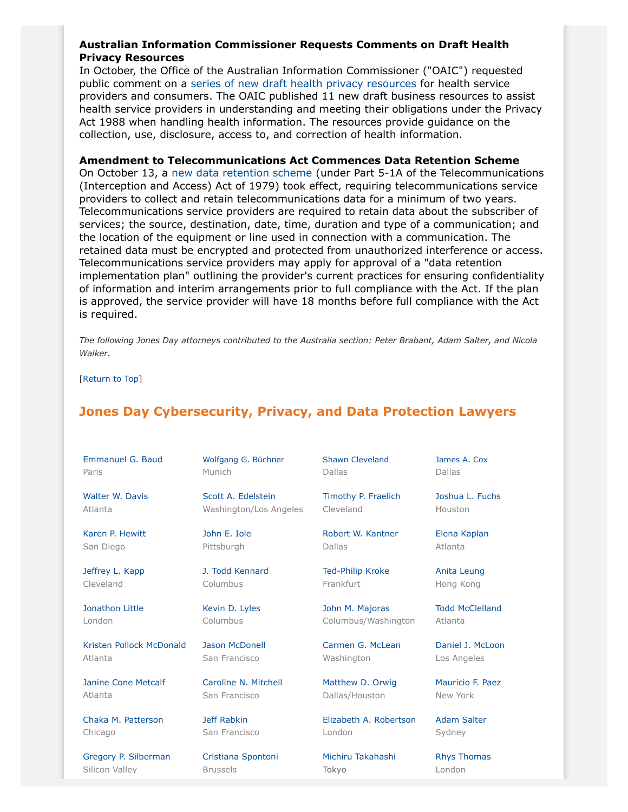# <span id="page-17-1"></span>**Australian Information Commissioner Requests Comments on Draft Health Privacy Resources**

In October, the Office of the Australian Information Commissioner ("OAIC") requested public comment on a [series of new draft health privacy resources](http://www.oaic.gov.au/privacy/privacy-engaging-with-you/current-privacy-consultations/health-privacy-guidance/) for health service providers and consumers. The OAIC published 11 new draft business resources to assist health service providers in understanding and meeting their obligations under the Privacy Act 1988 when handling health information. The resources provide guidance on the collection, use, disclosure, access to, and correction of health information.

#### **Amendment to Telecommunications Act Commences Data Retention Scheme**

On October 13, a [new data retention scheme](https://www.comlaw.gov.au/Details/C2015A00039) (under Part 5-1A of the Telecommunications (Interception and Access) Act of 1979) took effect, requiring telecommunications service providers to collect and retain telecommunications data for a minimum of two years. Telecommunications service providers are required to retain data about the subscriber of services; the source, destination, date, time, duration and type of a communication; and the location of the equipment or line used in connection with a communication. The retained data must be encrypted and protected from unauthorized interference or access. Telecommunications service providers may apply for approval of a "data retention implementation plan" outlining the provider's current practices for ensuring confidentiality of information and interim arrangements prior to full compliance with the Act. If the plan is approved, the service provider will have 18 months before full compliance with the Act is required.

*The following Jones Day attorneys contributed to the Australia section: Peter Brabant, Adam Salter, and Nicola Walker.*

[Return to Top]

# <span id="page-17-0"></span>**Jones Day Cybersecurity, Privacy, and Data Protection Lawyers**

| Emmanuel G. Baud |  |
|------------------|--|
| Paris            |  |

[Walter W. Davis](http://www.jonesday.com/wwdavis) Atlanta

[Karen P. Hewitt](http://www.jonesday.com/kphewitt) San Diego

[Jeffrey L. Kapp](http://www.jonesday.com/jlkapp) Cleveland

[Jonathon Little](http://www.jonesday.com/jrlittle) London

[Kristen Pollock](http://www.jonesday.com/kmcdonald) McDonald Atlanta

[Janine Cone Metcalf](http://www.jonesday.com/jmetcalf) Atlanta

[Chaka M. Patterson](http://www.jonesday.com/cpatterson) Chicago

[Gregory P. Silberman](http://www.jonesday.com/gpsilberman) Silicon Valley

[Wolfgang G. Büchner](http://www.jonesday.com/wbuechner) Munich

[Scott A. Edelstein](http://www.jonesday.com/sedelstein) Washington/Los Angeles

[John E. Iole](http://www.jonesday.com/jeiole/) Pittsburgh

[J. Todd Kennard](http://www.jonesday.com/jtkennard) Columbus

[Kevin D. Lyles](http://www.jonesday.com/kdlyles) Columbus

[Jason McDonell](http://www.jonesday.com/jmcdonell) San Francisco

[Caroline N. Mitchell](http://www.jonesday.com/cnmitchell) San Francisco

[Jeff Rabkin](http://www.jonesday.com/jrabkin) San Francisco

[Cristiana Spontoni](http://www.jonesday.com/cspontoni) Brussels

[Shawn Cleveland](http://www.jonesday.com/scleveland) Dallas

[Timothy P. Fraelich](http://www.jonesday.com/tfraelich) Cleveland

[Robert W. Kantner](http://www.jonesday.com/rwkantner) Dallas

[Ted-Philip Kroke](http://www.jonesday.com/tkroke) Frankfurt

[John M. Majoras](http://www.jonesday.com/jmmajoras) Columbus/Washington

[Carmen G. McLean](http://www.jonesday.com/cgmclean) Washington

[Matthew D. Orwig](http://www.jonesday.com/morwig) Dallas/Houston

[Elizabeth A. Robertson](http://www.jonesday.com/erobertson) London

[Michiru Takahashi](http://www.jonesday.com/mtakahashi) Tokyo

[Joshua L. Fuchs](http://www.jonesday.com/jlfuchs) Houston

[James A. Cox](http://www.jonesday.com/jacox) Dallas

[Elena Kaplan](http://www.jonesday.com/ekaplan) Atlanta

[Anita Leung](http://www.jonesday.com/aleung) Hong Kong

[Todd McClelland](http://www.jonesday.com/tmcclelland) Atlanta

[Daniel J. McLoon](http://www.jonesday.com/djmcloon) Los Angeles

[Mauricio F. Paez](http://www.jonesday.com/mfpaez) New York

[Adam Salter](http://www.jonesday.com/asalter) Sydney

[Rhys Thomas](http://www.jonesday.com/rethomas) London